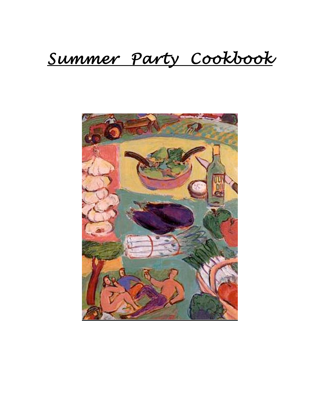# *Summer Party Cookbook*

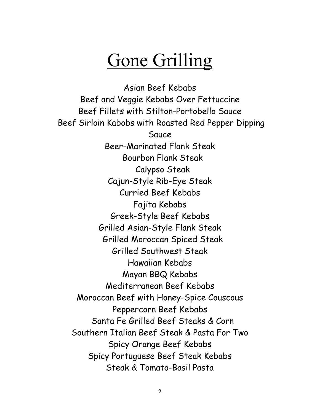# Gone Grilling

Asian Beef Kebabs Beef and Veggie Kebabs Over Fettuccine Beef Fillets with Stilton-Portobello Sauce Beef Sirloin Kabobs with Roasted Red Pepper Dipping Sauce Beer-Marinated Flank Steak Bourbon Flank Steak Calypso Steak Cajun-Style Rib-Eye Steak Curried Beef Kebabs Fajita Kebabs Greek-Style Beef Kebabs Grilled Asian-Style Flank Steak Grilled Moroccan Spiced Steak Grilled Southwest Steak Hawaiian Kebabs Mayan BBQ Kebabs Mediterranean Beef Kebabs Moroccan Beef with Honey-Spice Couscous Peppercorn Beef Kebabs Santa Fe Grilled Beef Steaks & Corn Southern Italian Beef Steak & Pasta For Two Spicy Orange Beef Kebabs Spicy Portuguese Beef Steak Kebabs Steak & Tomato-Basil Pasta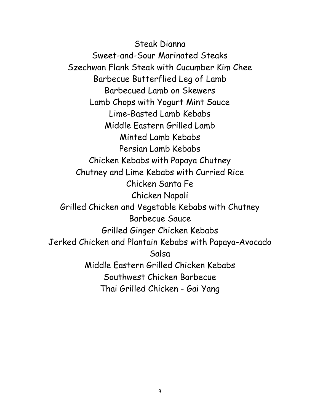Steak Dianna Sweet-and-Sour Marinated Steaks Szechwan Flank Steak with Cucumber Kim Chee Barbecue Butterflied Leg of Lamb Barbecued Lamb on Skewers Lamb Chops with Yogurt Mint Sauce Lime-Basted Lamb Kebabs Middle Eastern Grilled Lamb Minted Lamb Kebabs Persian Lamb Kebabs Chicken Kebabs with Papaya Chutney Chutney and Lime Kebabs with Curried Rice Chicken Santa Fe Chicken Napoli Grilled Chicken and Vegetable Kebabs with Chutney Barbecue Sauce Grilled Ginger Chicken Kebabs Jerked Chicken and Plantain Kebabs with Papaya-Avocado Salsa Middle Eastern Grilled Chicken Kebabs Southwest Chicken Barbecue Thai Grilled Chicken - Gai Yang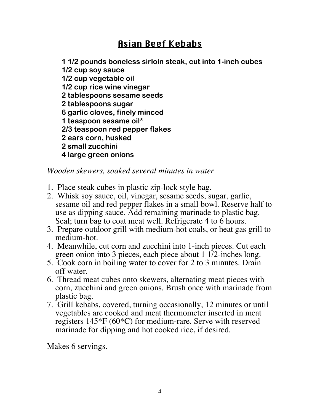## Asian Beef Kebabs

**1 1/2 pounds boneless sirloin steak, cut into 1-inch cubes 1/2 cup soy sauce 1/2 cup vegetable oil 1/2 cup rice wine vinegar 2 tablespoons sesame seeds 2 tablespoons sugar 6 garlic cloves, finely minced 1 teaspoon sesame oil\* 2/3 teaspoon red pepper flakes 2 ears corn, husked 2 small zucchini 4 large green onions**

*Wooden skewers, soaked several minutes in water*

- 1. Place steak cubes in plastic zip-lock style bag.
- 2. Whisk soy sauce, oil, vinegar, sesame seeds, sugar, garlic, sesame oil and red pepper flakes in a small bowl. Reserve half to use as dipping sauce. Add remaining marinade to plastic bag. Seal; turn bag to coat meat well. Refrigerate 4 to 6 hours.
- 3. Prepare outdoor grill with medium-hot coals, or heat gas grill to medium-hot.
- 4. Meanwhile, cut corn and zucchini into 1-inch pieces. Cut each green onion into 3 pieces, each piece about 1 1/2-inches long.
- 5. Cook corn in boiling water to cover for 2 to 3 minutes. Drain off water.
- 6. Thread meat cubes onto skewers, alternating meat pieces with corn, zucchini and green onions. Brush once with marinade from plastic bag.
- 7. Grill kebabs, covered, turning occasionally, 12 minutes or until vegetables are cooked and meat thermometer inserted in meat registers 145\*F (60\*C) for medium-rare. Serve with reserved marinade for dipping and hot cooked rice, if desired.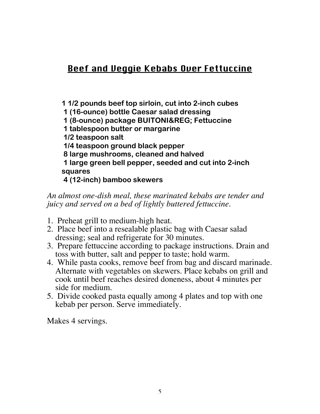## Beef and Veggie Kebabs Over Fettuccine

**1 1/2 pounds beef top sirloin, cut into 2-inch cubes 1 (16-ounce) bottle Caesar salad dressing 1 (8-ounce) package BUITONI® Fettuccine 1 tablespoon butter or margarine 1/2 teaspoon salt 1/4 teaspoon ground black pepper 8 large mushrooms, cleaned and halved 1 large green bell pepper, seeded and cut into 2-inch squares**

 **4 (12-inch) bamboo skewers**

#### *An almost one-dish meal, these marinated kebabs are tender and juicy and served on a bed of lightly buttered fettuccine.*

- 1. Preheat grill to medium-high heat.
- 2. Place beef into a resealable plastic bag with Caesar salad dressing; seal and refrigerate for 30 minutes.
- 3. Prepare fettuccine according to package instructions. Drain and toss with butter, salt and pepper to taste; hold warm.
- 4. While pasta cooks, remove beef from bag and discard marinade. Alternate with vegetables on skewers. Place kebabs on grill and cook until beef reaches desired doneness, about 4 minutes per side for medium.
- 5. Divide cooked pasta equally among 4 plates and top with one kebab per person. Serve immediately.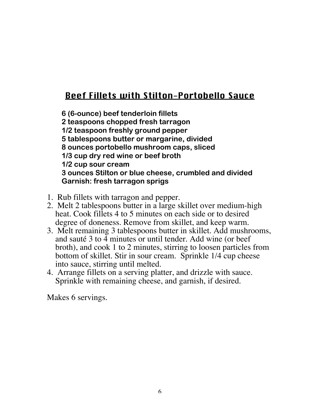## Beef Fillets with Stilton-Portobello Sauce

**6 (6-ounce) beef tenderloin fillets 2 teaspoons chopped fresh tarragon 1/2 teaspoon freshly ground pepper 5 tablespoons butter or margarine, divided 8 ounces portobello mushroom caps, sliced 1/3 cup dry red wine or beef broth 1/2 cup sour cream 3 ounces Stilton or blue cheese, crumbled and divided Garnish: fresh tarragon sprigs**

- 1. Rub fillets with tarragon and pepper.
- 2. Melt 2 tablespoons butter in a large skillet over medium-high heat. Cook fillets 4 to 5 minutes on each side or to desired degree of doneness. Remove from skillet, and keep warm.
- 3. Melt remaining 3 tablespoons butter in skillet. Add mushrooms, and sauté 3 to 4 minutes or until tender. Add wine (or beef broth), and cook 1 to 2 minutes, stirring to loosen particles from bottom of skillet. Stir in sour cream. Sprinkle 1/4 cup cheese into sauce, stirring until melted.
- 4. Arrange fillets on a serving platter, and drizzle with sauce. Sprinkle with remaining cheese, and garnish, if desired.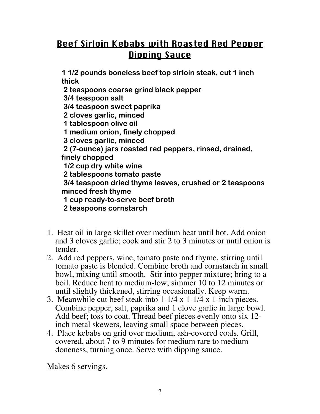# Beef Sirloin Kebabs with Roasted Red Pepper **Dipping Sauce**

**1 1/2 pounds boneless beef top sirloin steak, cut 1 inch thick**

 **2 teaspoons coarse grind black pepper**

 **3/4 teaspoon salt**

 **3/4 teaspoon sweet paprika**

 **2 cloves garlic, minced**

 **1 tablespoon olive oil**

 **1 medium onion, finely chopped**

 **3 cloves garlic, minced**

 **2 (7-ounce) jars roasted red peppers, rinsed, drained, finely chopped**

 **1/2 cup dry white wine**

 **2 tablespoons tomato paste**

 **3/4 teaspoon dried thyme leaves, crushed or 2 teaspoons minced fresh thyme**

 **1 cup ready-to-serve beef broth**

 **2 teaspoons cornstarch**

- 1. Heat oil in large skillet over medium heat until hot. Add onion and 3 cloves garlic; cook and stir 2 to 3 minutes or until onion is tender.
- 2. Add red peppers, wine, tomato paste and thyme, stirring until tomato paste is blended. Combine broth and cornstarch in small bowl, mixing until smooth. Stir into pepper mixture; bring to a boil. Reduce heat to medium-low; simmer 10 to 12 minutes or until slightly thickened, stirring occasionally. Keep warm.
- 3. Meanwhile cut beef steak into 1-1/4 x 1-1/4 x 1-inch pieces. Combine pepper, salt, paprika and 1 clove garlic in large bowl. Add beef; toss to coat. Thread beef pieces evenly onto six 12 inch metal skewers, leaving small space between pieces.
- 4. Place kebabs on grid over medium, ash-covered coals. Grill, covered, about 7 to 9 minutes for medium rare to medium doneness, turning once. Serve with dipping sauce.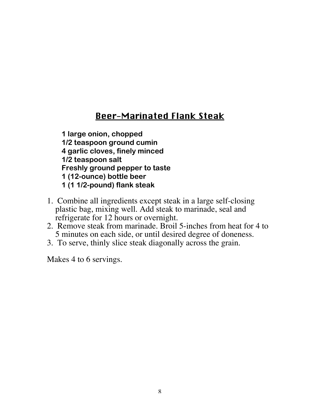#### Beer-Marinated Flank Steak

**1 large onion, chopped 1/2 teaspoon ground cumin 4 garlic cloves, finely minced 1/2 teaspoon salt Freshly ground pepper to taste 1 (12-ounce) bottle beer 1 (1 1/2-pound) flank steak**

- 1. Combine all ingredients except steak in a large self-closing plastic bag, mixing well. Add steak to marinade, seal and refrigerate for 12 hours or overnight.
- 2. Remove steak from marinade. Broil 5-inches from heat for 4 to 5 minutes on each side, or until desired degree of doneness.
- 3. To serve, thinly slice steak diagonally across the grain.

Makes 4 to 6 servings.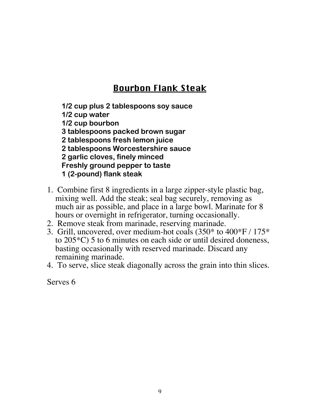## Bourbon Flank Steak

**1/2 cup plus 2 tablespoons soy sauce 1/2 cup water 1/2 cup bourbon 3 tablespoons packed brown sugar 2 tablespoons fresh lemon juice 2 tablespoons Worcestershire sauce 2 garlic cloves, finely minced Freshly ground pepper to taste 1 (2-pound) flank steak**

- 1. Combine first 8 ingredients in a large zipper-style plastic bag, mixing well. Add the steak; seal bag securely, removing as much air as possible, and place in a large bowl. Marinate for 8 hours or overnight in refrigerator, turning occasionally.
- 2. Remove steak from marinade, reserving marinade.
- 3. Grill, uncovered, over medium-hot coals (350\* to 400\*F / 175\* to 205\*C) 5 to 6 minutes on each side or until desired doneness, basting occasionally with reserved marinade. Discard any remaining marinade.
- 4. To serve, slice steak diagonally across the grain into thin slices.

Serves 6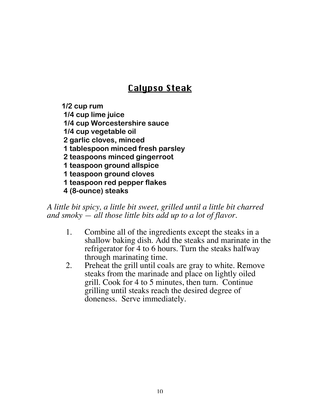# **Calupso Steak**

**1/2 cup rum 1/4 cup lime juice 1/4 cup Worcestershire sauce 1/4 cup vegetable oil 2 garlic cloves, minced 1 tablespoon minced fresh parsley 2 teaspoons minced gingerroot 1 teaspoon ground allspice 1 teaspoon ground cloves**

 **1 teaspoon red pepper flakes**

 **4 (8-ounce) steaks**

*A little bit spicy, a little bit sweet, grilled until a little bit charred and smoky — all those little bits add up to a lot of flavor*.

- 1. Combine all of the ingredients except the steaks in a shallow baking dish. Add the steaks and marinate in the refrigerator for 4 to 6 hours. Turn the steaks halfway through marinating time.
- 2. Preheat the grill until coals are gray to white. Remove steaks from the marinade and place on lightly oiled grill. Cook for 4 to 5 minutes, then turn. Continue grilling until steaks reach the desired degree of doneness. Serve immediately.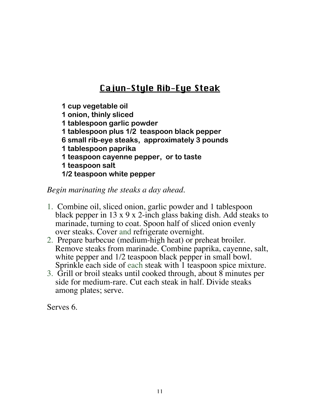# Cajun-Style Rib-Eye Steak

**1 cup vegetable oil 1 onion, thinly sliced 1 tablespoon garlic powder 1 tablespoon plus 1/2 teaspoon black pepper 6 small rib-eye steaks, approximately 3 pounds 1 tablespoon paprika 1 teaspoon cayenne pepper, or to taste 1 teaspoon salt 1/2 teaspoon white pepper**

#### *Begin marinating the steaks a day ahead.*

- 1. Combine oil, sliced onion, garlic powder and 1 tablespoon black pepper in 13 x 9 x 2-inch glass baking dish. Add steaks to marinade, turning to coat. Spoon half of sliced onion evenly over steaks. Cover and refrigerate overnight.
- 2. Prepare barbecue (medium-high heat) or preheat broiler. Remove steaks from marinade. Combine paprika, cayenne, salt, white pepper and  $1/2$  teaspoon black pepper in small bowl. Sprinkle each side of each steak with 1 teaspoon spice mixture.
- 3. Grill or broil steaks until cooked through, about 8 minutes per side for medium-rare. Cut each steak in half. Divide steaks among plates; serve.

Serves 6.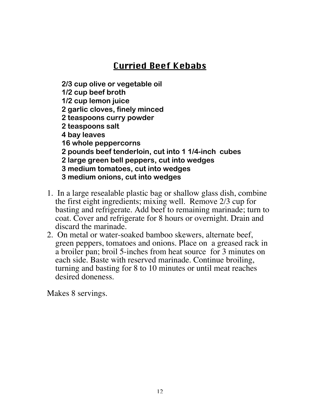# Curried Beef Kebabs

**2/3 cup olive or vegetable oil**

**1/2 cup beef broth 1/2 cup lemon juice**

**2 garlic cloves, finely minced**

**2 teaspoons curry powder**

**2 teaspoons salt**

**4 bay leaves**

**16 whole peppercorns**

**2 pounds beef tenderloin, cut into 1 1/4-inch cubes**

**2 large green bell peppers, cut into wedges**

**3 medium tomatoes, cut into wedges**

**3 medium onions, cut into wedges**

- 1. In a large resealable plastic bag or shallow glass dish, combine the first eight ingredients; mixing well. Remove 2/3 cup for basting and refrigerate. Add beef to remaining marinade; turn to coat. Cover and refrigerate for 8 hours or overnight. Drain and discard the marinade.
- 2. On metal or water-soaked bamboo skewers, alternate beef, green peppers, tomatoes and onions. Place on a greased rack in a broiler pan; broil 5-inches from heat source for 3 minutes on each side. Baste with reserved marinade. Continue broiling, turning and basting for 8 to 10 minutes or until meat reaches desired doneness.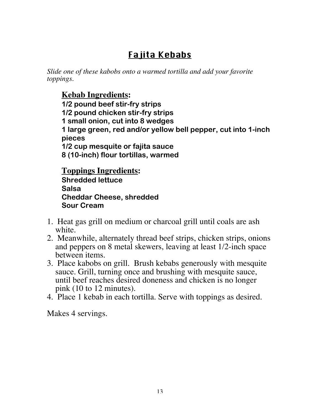# Fajita Kebabs

*Slide one of these kabobs onto a warmed tortilla and add your favorite toppings.*

#### **Kebab Ingredients:**

**1/2 pound beef stir-fry strips 1/2 pound chicken stir-fry strips 1 small onion, cut into 8 wedges 1 large green, red and/or yellow bell pepper, cut into 1-inch pieces 1/2 cup mesquite or fajita sauce 8 (10-inch) flour tortillas, warmed**

**Toppings Ingredients: Shredded lettuce Salsa Cheddar Cheese, shredded**

**Sour Cream**

- 1. Heat gas grill on medium or charcoal grill until coals are ash white.
- 2. Meanwhile, alternately thread beef strips, chicken strips, onions and peppers on 8 metal skewers, leaving at least 1/2-inch space between items.
- 3. Place kabobs on grill. Brush kebabs generously with mesquite sauce. Grill, turning once and brushing with mesquite sauce, until beef reaches desired doneness and chicken is no longer pink (10 to 12 minutes).
- 4. Place 1 kebab in each tortilla. Serve with toppings as desired.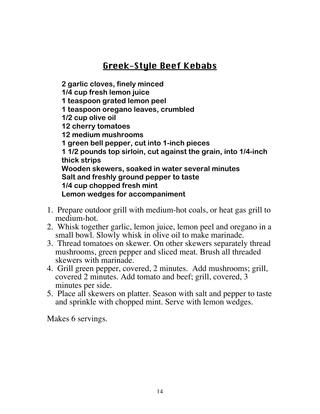# Greek-Style Beef Kebabs

**2 garlic cloves, finely minced 1/4 cup fresh lemon juice 1 teaspoon grated lemon peel 1 teaspoon oregano leaves, crumbled 1/2 cup olive oil 12 cherry tomatoes 12 medium mushrooms 1 green bell pepper, cut into 1-inch pieces 1 1/2 pounds top sirloin, cut against the grain, into 1/4-inch thick strips Wooden skewers, soaked in water several minutes Salt and freshly ground pepper to taste 1/4 cup chopped fresh mint Lemon wedges for accompaniment**

- 1. Prepare outdoor grill with medium-hot coals, or heat gas grill to medium-hot.
- 2. Whisk together garlic, lemon juice, lemon peel and oregano in a small bowl. Slowly whisk in olive oil to make marinade.
- 3. Thread tomatoes on skewer. On other skewers separately thread mushrooms, green pepper and sliced meat. Brush all threaded skewers with marinade.
- 4. Grill green pepper, covered, 2 minutes. Add mushrooms; grill, covered 2 minutes. Add tomato and beef; grill, covered, 3 minutes per side.
- 5. Place all skewers on platter. Season with salt and pepper to taste and sprinkle with chopped mint. Serve with lemon wedges.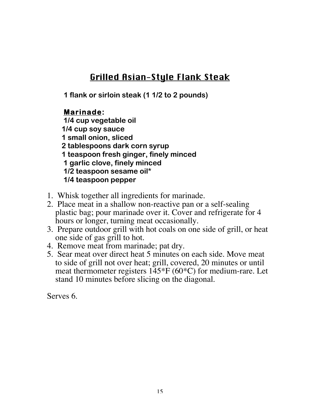#### Grilled Asian-Style Flank Steak

**1 flank or sirloin steak (1 1/2 to 2 pounds)**

#### **Marinade:**

 **1/4 cup vegetable oil 1/4 cup soy sauce 1 small onion, sliced 2 tablespoons dark corn syrup 1 teaspoon fresh ginger, finely minced 1 garlic clove, finely minced 1/2 teaspoon sesame oil\* 1/4 teaspoon pepper**

- 1. Whisk together all ingredients for marinade.
- 2. Place meat in a shallow non-reactive pan or a self-sealing plastic bag; pour marinade over it. Cover and refrigerate for 4 hours or longer, turning meat occasionally.
- 3. Prepare outdoor grill with hot coals on one side of grill, or heat one side of gas grill to hot.
- 4. Remove meat from marinade; pat dry.
- 5. Sear meat over direct heat 5 minutes on each side. Move meat to side of grill not over heat; grill, covered, 20 minutes or until meat thermometer registers 145\*F (60\*C) for medium-rare. Let stand 10 minutes before slicing on the diagonal.

Serves 6.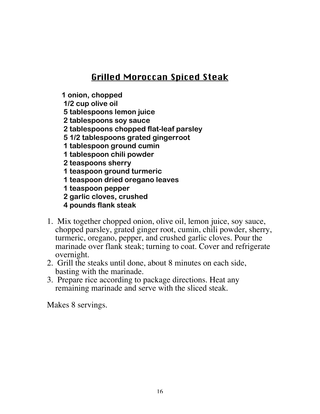#### Grilled Moroccan Spiced Steak

**1 onion, chopped**

 **1/2 cup olive oil**

- **5 tablespoons lemon juice**
- **2 tablespoons soy sauce**
- **2 tablespoons chopped flat-leaf parsley**
- **5 1/2 tablespoons grated gingerroot**
- **1 tablespoon ground cumin**
- **1 tablespoon chili powder**

 **2 teaspoons sherry**

 **1 teaspoon ground turmeric**

- **1 teaspoon dried oregano leaves**
- **1 teaspoon pepper**
- **2 garlic cloves, crushed**
- **4 pounds flank steak**
- 1. Mix together chopped onion, olive oil, lemon juice, soy sauce, chopped parsley, grated ginger root, cumin, chili powder, sherry, turmeric, oregano, pepper, and crushed garlic cloves. Pour the marinade over flank steak; turning to coat. Cover and refrigerate overnight.
- 2. Grill the steaks until done, about 8 minutes on each side, basting with the marinade.
- 3. Prepare rice according to package directions. Heat any remaining marinade and serve with the sliced steak.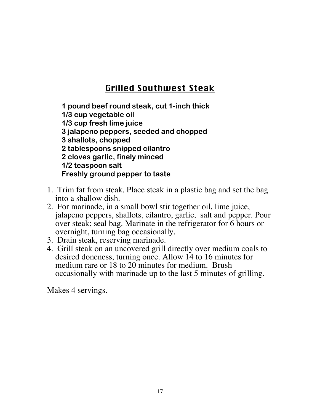# Grilled Southwest Steak

**1 pound beef round steak, cut 1-inch thick 1/3 cup vegetable oil 1/3 cup fresh lime juice 3 jalapeno peppers, seeded and chopped 3 shallots, chopped 2 tablespoons snipped cilantro 2 cloves garlic, finely minced 1/2 teaspoon salt Freshly ground pepper to taste**

- 1. Trim fat from steak. Place steak in a plastic bag and set the bag into a shallow dish.
- 2. For marinade, in a small bowl stir together oil, lime juice, jalapeno peppers, shallots, cilantro, garlic, salt and pepper. Pour over steak; seal bag. Marinate in the refrigerator for 6 hours or overnight, turning bag occasionally.
- 3. Drain steak, reserving marinade.
- 4. Grill steak on an uncovered grill directly over medium coals to desired doneness, turning once. Allow 14 to 16 minutes for medium rare or 18 to 20 minutes for medium. Brush occasionally with marinade up to the last 5 minutes of grilling.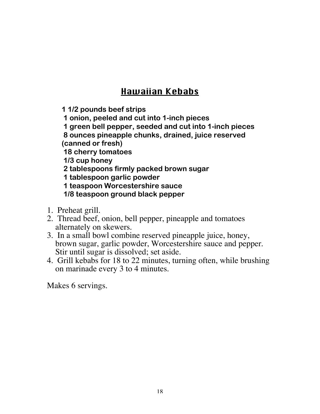# Hawaiian Kebabs

**1 1/2 pounds beef strips**

 **1 onion, peeled and cut into 1-inch pieces**

 **1 green bell pepper, seeded and cut into 1-inch pieces**

 **8 ounces pineapple chunks, drained, juice reserved**

**(canned or fresh)**

 **18 cherry tomatoes**

 **1/3 cup honey**

 **2 tablespoons firmly packed brown sugar**

 **1 tablespoon garlic powder**

 **1 teaspoon Worcestershire sauce**

 **1/8 teaspoon ground black pepper**

- 1. Preheat grill.
- 2. Thread beef, onion, bell pepper, pineapple and tomatoes alternately on skewers.
- 3. In a small bowl combine reserved pineapple juice, honey, brown sugar, garlic powder, Worcestershire sauce and pepper. Stir until sugar is dissolved; set aside.
- 4. Grill kebabs for 18 to 22 minutes, turning often, while brushing on marinade every 3 to 4 minutes.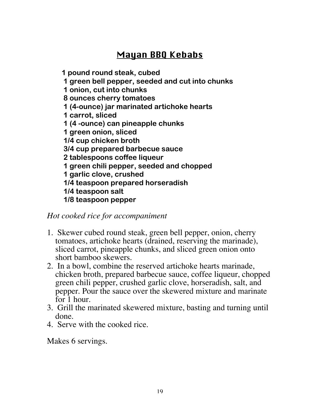# Mayan BBQ Kebabs

**1 pound round steak, cubed**

 **1 green bell pepper, seeded and cut into chunks**

 **1 onion, cut into chunks**

 **8 ounces cherry tomatoes**

 **1 (4-ounce) jar marinated artichoke hearts**

 **1 carrot, sliced**

 **1 (4 -ounce) can pineapple chunks**

 **1 green onion, sliced**

 **1/4 cup chicken broth**

 **3/4 cup prepared barbecue sauce**

 **2 tablespoons coffee liqueur**

 **1 green chili pepper, seeded and chopped**

 **1 garlic clove, crushed**

 **1/4 teaspoon prepared horseradish**

 **1/4 teaspoon salt**

 **1/8 teaspoon pepper**

*Hot cooked rice for accompaniment*

- 1. Skewer cubed round steak, green bell pepper, onion, cherry tomatoes, artichoke hearts (drained, reserving the marinade), sliced carrot, pineapple chunks, and sliced green onion onto short bamboo skewers.
- 2. In a bowl, combine the reserved artichoke hearts marinade, chicken broth, prepared barbecue sauce, coffee liqueur, chopped green chili pepper, crushed garlic clove, horseradish, salt, and pepper. Pour the sauce over the skewered mixture and marinate for 1 hour.
- 3. Grill the marinated skewered mixture, basting and turning until done.
- 4. Serve with the cooked rice.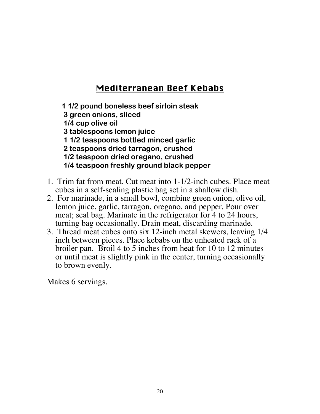#### Mediterranean Beef Kebabs

**1 1/2 pound boneless beef sirloin steak 3 green onions, sliced 1/4 cup olive oil 3 tablespoons lemon juice 1 1/2 teaspoons bottled minced garlic 2 teaspoons dried tarragon, crushed 1/2 teaspoon dried oregano, crushed 1/4 teaspoon freshly ground black pepper**

- 1. Trim fat from meat. Cut meat into 1-1/2-inch cubes. Place meat cubes in a self-sealing plastic bag set in a shallow dish.
- 2. For marinade, in a small bowl, combine green onion, olive oil, lemon juice, garlic, tarragon, oregano, and pepper. Pour over meat; seal bag. Marinate in the refrigerator for 4 to 24 hours, turning bag occasionally. Drain meat, discarding marinade.
- 3. Thread meat cubes onto six 12-inch metal skewers, leaving 1/4 inch between pieces. Place kebabs on the unheated rack of a broiler pan. Broil 4 to 5 inches from heat for 10 to 12 minutes or until meat is slightly pink in the center, turning occasionally to brown evenly.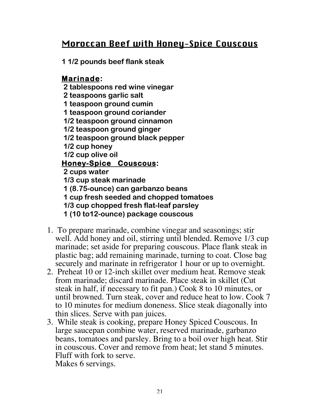#### Moroccan Beef with Honey-Spice Couscous

**1 1/2 pounds beef flank steak**

#### **Marinade:**

 **2 tablespoons red wine vinegar**

- **2 teaspoons garlic salt**
- **1 teaspoon ground cumin**
- **1 teaspoon ground coriander**
- **1/2 teaspoon ground cinnamon**
- **1/2 teaspoon ground ginger**
- **1/2 teaspoon ground black pepper**
- **1/2 cup honey**

 **1/2 cup olive oil**

#### **Honey-Spice Couscous:**

 **2 cups water**

 **1/3 cup steak marinade**

- **1 (8.75-ounce) can garbanzo beans**
- **1 cup fresh seeded and chopped tomatoes**
- **1/3 cup chopped fresh flat-leaf parsley**
- **1 (10 to12-ounce) package couscous**
- 1. To prepare marinade, combine vinegar and seasonings; stir well. Add honey and oil, stirring until blended. Remove 1/3 cup marinade; set aside for preparing couscous. Place flank steak in plastic bag; add remaining marinade, turning to coat. Close bag securely and marinate in refrigerator 1 hour or up to overnight.
- 2. Preheat 10 or 12-inch skillet over medium heat. Remove steak from marinade; discard marinade. Place steak in skillet (Cut steak in half, if necessary to fit pan.) Cook 8 to 10 minutes, or until browned. Turn steak, cover and reduce heat to low. Cook 7 to 10 minutes for medium doneness. Slice steak diagonally into thin slices. Serve with pan juices.
- 3. While steak is cooking, prepare Honey Spiced Couscous. In large saucepan combine water, reserved marinade, garbanzo beans, tomatoes and parsley. Bring to a boil over high heat. Stir in couscous. Cover and remove from heat; let stand 5 minutes. Fluff with fork to serve. Makes 6 servings.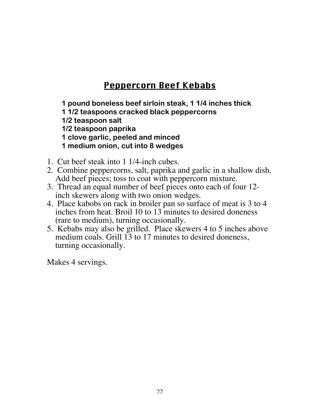## Peppercorn Beef Kebabs

**1 pound boneless beef sirloin steak, 1 1/4 inches thick 1 1/2 teaspoons cracked black peppercorns 1/2 teaspoon salt 1/2 teaspoon paprika 1 clove garlic, peeled and minced 1 medium onion, cut into 8 wedges**

- 1. Cut beef steak into 1 1/4-inch cubes.
- 2. Combine peppercorns, salt, paprika and garlic in a shallow dish. Add beef pieces; toss to coat with peppercorn mixture.
- 3. Thread an equal number of beef pieces onto each of four 12 inch skewers along with two onion wedges.
- 4. Place kabobs on rack in broiler pan so surface of meat is 3 to 4 inches from heat. Broil 10 to 13 minutes to desired doneness (rare to medium), turning occasionally.
- 5. Kebabs may also be grilled. Place skewers 4 to 5 inches above medium coals. Grill 13 to 17 minutes to desired doneness, turning occasionally.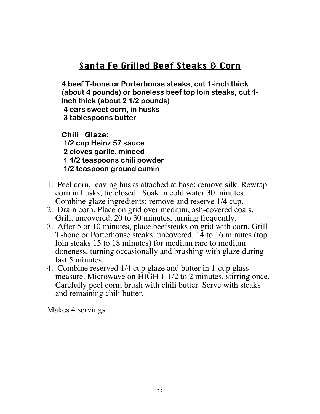## Santa Fe Grilled Beef Steaks & Corn

**4 beef T-bone or Porterhouse steaks, cut 1-inch thick (about 4 pounds) or boneless beef top loin steaks, cut 1 inch thick (about 2 1/2 pounds) 4 ears sweet corn, in husks 3 tablespoons butter**

**Chili Glaze: 1/2 cup Heinz 57 sauce 2 cloves garlic, minced 1 1/2 teaspoons chili powder 1/2 teaspoon ground cumin**

- 1. Peel corn, leaving husks attached at base; remove silk. Rewrap corn in husks; tie closed. Soak in cold water 30 minutes. Combine glaze ingredients; remove and reserve 1/4 cup.
- 2. Drain corn. Place on grid over medium, ash-covered coals. Grill, uncovered, 20 to 30 minutes, turning frequently.
- 3. After 5 or 10 minutes, place beefsteaks on grid with corn. Grill T-bone or Porterhouse steaks, uncovered, 14 to 16 minutes (top loin steaks 15 to 18 minutes) for medium rare to medium doneness, turning occasionally and brushing with glaze during last 5 minutes.
- 4. Combine reserved 1/4 cup glaze and butter in 1-cup glass measure. Microwave on HIGH 1-1/2 to 2 minutes, stirring once. Carefully peel corn; brush with chili butter. Serve with steaks and remaining chili butter.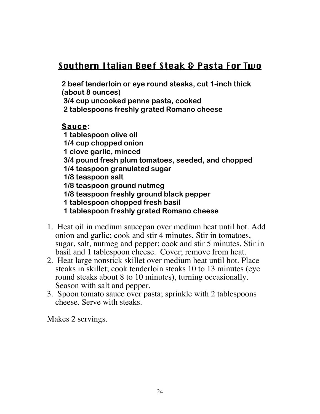# Southern Italian Beef Steak & Pasta For Two

**2 beef tenderloin or eye round steaks, cut 1-inch thick (about 8 ounces)**

 **3/4 cup uncooked penne pasta, cooked**

 **2 tablespoons freshly grated Romano cheese**

#### **Sauce:**

 **1 tablespoon olive oil**

 **1/4 cup chopped onion**

 **1 clove garlic, minced**

 **3/4 pound fresh plum tomatoes, seeded, and chopped**

 **1/4 teaspoon granulated sugar**

 **1/8 teaspoon salt**

 **1/8 teaspoon ground nutmeg**

 **1/8 teaspoon freshly ground black pepper**

 **1 tablespoon chopped fresh basil**

 **1 tablespoon freshly grated Romano cheese**

- 1. Heat oil in medium saucepan over medium heat until hot. Add onion and garlic; cook and stir 4 minutes. Stir in tomatoes, sugar, salt, nutmeg and pepper; cook and stir 5 minutes. Stir in basil and 1 tablespoon cheese. Cover; remove from heat.
- 2. Heat large nonstick skillet over medium heat until hot. Place steaks in skillet; cook tenderloin steaks 10 to 13 minutes (eye round steaks about 8 to 10 minutes), turning occasionally. Season with salt and pepper.
- 3. Spoon tomato sauce over pasta; sprinkle with 2 tablespoons cheese. Serve with steaks.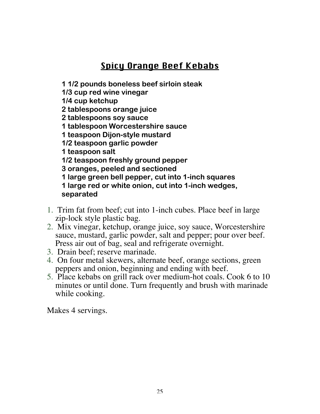# Spicy Orange Beef Kebabs

**1 1/2 pounds boneless beef sirloin steak**

**1/3 cup red wine vinegar**

**1/4 cup ketchup**

**2 tablespoons orange juice**

**2 tablespoons soy sauce**

**1 tablespoon Worcestershire sauce**

**1 teaspoon Dijon-style mustard**

**1/2 teaspoon garlic powder**

**1 teaspoon salt**

**1/2 teaspoon freshly ground pepper**

**3 oranges, peeled and sectioned**

**1 large green bell pepper, cut into 1-inch squares**

**1 large red or white onion, cut into 1-inch wedges, separated**

- 1. Trim fat from beef; cut into 1-inch cubes. Place beef in large zip-lock style plastic bag.
- 2. Mix vinegar, ketchup, orange juice, soy sauce, Worcestershire sauce, mustard, garlic powder, salt and pepper; pour over beef. Press air out of bag, seal and refrigerate overnight.
- 3. Drain beef; reserve marinade.
- 4. On four metal skewers, alternate beef, orange sections, green peppers and onion, beginning and ending with beef.
- 5. Place kebabs on grill rack over medium-hot coals. Cook 6 to 10 minutes or until done. Turn frequently and brush with marinade while cooking.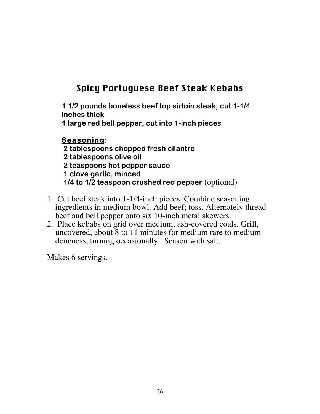# Spicy Portuguese Beef Steak Kebabs

**1 1/2 pounds boneless beef top sirloin steak, cut 1-1/4 inches thick**

**1 large red bell pepper, cut into 1-inch pieces**

#### **Seasoning:**

 **2 tablespoons chopped fresh cilantro 2 tablespoons olive oil 2 teaspoons hot pepper sauce 1 clove garlic, minced 1/4 to 1/2 teaspoon crushed red pepper** (optional)

- 1. Cut beef steak into 1-1/4-inch pieces. Combine seasoning ingredients in medium bowl. Add beef; toss. Alternately thread beef and bell pepper onto six 10-inch metal skewers.
- 2. Place kebabs on grid over medium, ash-covered coals. Grill, uncovered, about 8 to 11 minutes for medium rare to medium doneness, turning occasionally. Season with salt.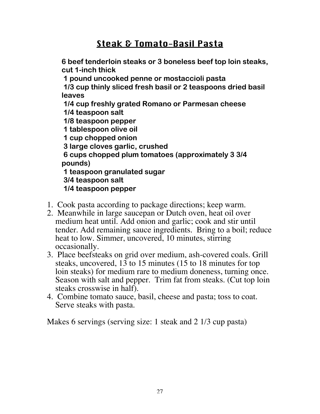#### Steak & Tomato-Basil Pasta

**6 beef tenderloin steaks or 3 boneless beef top loin steaks, cut 1-inch thick**

 **1 pound uncooked penne or mostaccioli pasta**

 **1/3 cup thinly sliced fresh basil or 2 teaspoons dried basil leaves**

 **1/4 cup freshly grated Romano or Parmesan cheese 1/4 teaspoon salt**

 **1/8 teaspoon pepper**

 **1 tablespoon olive oil**

 **1 cup chopped onion**

 **3 large cloves garlic, crushed**

 **6 cups chopped plum tomatoes (approximately 3 3/4 pounds)**

 **1 teaspoon granulated sugar**

 **3/4 teaspoon salt**

 **1/4 teaspoon pepper**

- 1. Cook pasta according to package directions; keep warm.
- 2. Meanwhile in large saucepan or Dutch oven, heat oil over medium heat until. Add onion and garlic; cook and stir until tender. Add remaining sauce ingredients. Bring to a boil; reduce heat to low. Simmer, uncovered, 10 minutes, stirring occasionally.
- 3. Place beefsteaks on grid over medium, ash-covered coals. Grill steaks, uncovered, 13 to 15 minutes (15 to 18 minutes for top loin steaks) for medium rare to medium doneness, turning once. Season with salt and pepper. Trim fat from steaks. (Cut top loin steaks crosswise in half).
- 4. Combine tomato sauce, basil, cheese and pasta; toss to coat. Serve steaks with pasta.

Makes 6 servings (serving size: 1 steak and 2 1/3 cup pasta)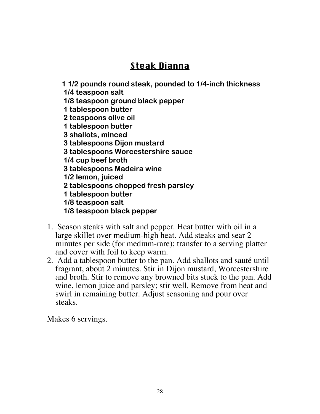# Steak Dianna

**1 1/2 pounds round steak, pounded to 1/4-inch thickness**

- **1/4 teaspoon salt**
- **1/8 teaspoon ground black pepper**
- **1 tablespoon butter**
- **2 teaspoons olive oil**
- **1 tablespoon butter**
- **3 shallots, minced**
- **3 tablespoons Dijon mustard**
- **3 tablespoons Worcestershire sauce**
- **1/4 cup beef broth**
- **3 tablespoons Madeira wine**
- **1/2 lemon, juiced**
- **2 tablespoons chopped fresh parsley**
- **1 tablespoon butter**
- **1/8 teaspoon salt**
- **1/8 teaspoon black pepper**
- 1. Season steaks with salt and pepper. Heat butter with oil in a large skillet over medium-high heat. Add steaks and sear 2 minutes per side (for medium-rare); transfer to a serving platter and cover with foil to keep warm.
- 2. Add a tablespoon butter to the pan. Add shallots and sauté until fragrant, about 2 minutes. Stir in Dijon mustard, Worcestershire and broth. Stir to remove any browned bits stuck to the pan. Add wine, lemon juice and parsley; stir well. Remove from heat and swirl in remaining butter. Adjust seasoning and pour over steaks.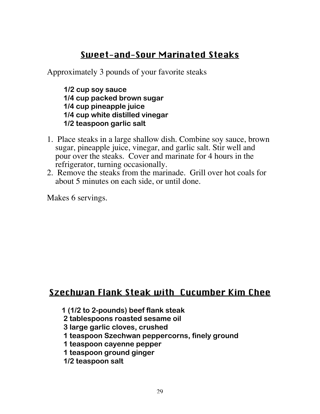#### Sweet-and-Sour Marinated Steaks

Approximately 3 pounds of your favorite steaks

**1/2 cup soy sauce 1/4 cup packed brown sugar 1/4 cup pineapple juice 1/4 cup white distilled vinegar 1/2 teaspoon garlic salt**

- 1. Place steaks in a large shallow dish. Combine soy sauce, brown sugar, pineapple juice, vinegar, and garlic salt. Stir well and pour over the steaks. Cover and marinate for 4 hours in the refrigerator, turning occasionally.
- 2. Remove the steaks from the marinade. Grill over hot coals for about 5 minutes on each side, or until done.

Makes 6 servings.

#### Szechwan Flank Steak with Cucumber Kim Chee

- **1 (1/2 to 2-pounds) beef flank steak**
- **2 tablespoons roasted sesame oil**
- **3 large garlic cloves, crushed**
- **1 teaspoon Szechwan peppercorns, finely ground**
- **1 teaspoon cayenne pepper**
- **1 teaspoon ground ginger**
- **1/2 teaspoon salt**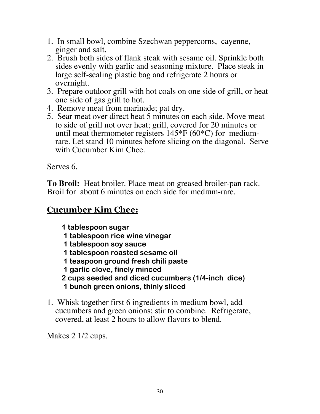- 1. In small bowl, combine Szechwan peppercorns, cayenne, ginger and salt.
- 2. Brush both sides of flank steak with sesame oil. Sprinkle both sides evenly with garlic and seasoning mixture. Place steak in large self-sealing plastic bag and refrigerate 2 hours or overnight.
- 3. Prepare outdoor grill with hot coals on one side of grill, or heat one side of gas grill to hot.
- 4. Remove meat from marinade; pat dry.
- 5. Sear meat over direct heat 5 minutes on each side. Move meat to side of grill not over heat; grill, covered for 20 minutes or until meat thermometer registers  $145*F(60*C)$  for mediumrare. Let stand 10 minutes before slicing on the diagonal. Serve with Cucumber Kim Chee.

Serves 6.

**To Broil:** Heat broiler. Place meat on greased broiler-pan rack. Broil for about 6 minutes on each side for medium-rare.

#### **Cucumber Kim Chee:**

**1 tablespoon sugar**

- **1 tablespoon rice wine vinegar**
- **1 tablespoon soy sauce**
- **1 tablespoon roasted sesame oil**
- **1 teaspoon ground fresh chili paste**
- **1 garlic clove, finely minced**
- **2 cups seeded and diced cucumbers (1/4-inch dice) 1 bunch green onions, thinly sliced**
- 1. Whisk together first 6 ingredients in medium bowl, add cucumbers and green onions; stir to combine. Refrigerate, covered, at least 2 hours to allow flavors to blend.

Makes 2 1/2 cups.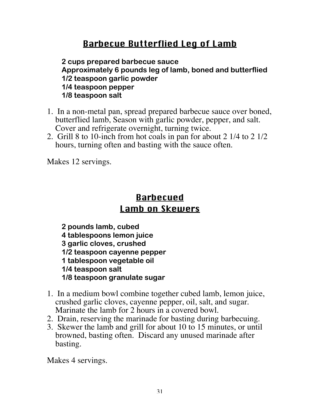## Barbecue Butterflied Leg of Lamb

**2 cups prepared barbecue sauce Approximately 6 pounds leg of lamb, boned and butterflied 1/2 teaspoon garlic powder 1/4 teaspoon pepper 1/8 teaspoon salt**

- 1. In a non-metal pan, spread prepared barbecue sauce over boned, butterflied lamb, Season with garlic powder, pepper, and salt. Cover and refrigerate overnight, turning twice.
- 2. Grill 8 to 10-inch from hot coals in pan for about 2 1/4 to 2 1/2 hours, turning often and basting with the sauce often.

Makes 12 servings.

#### Barbecued Lamb on Skewers

**2 pounds lamb, cubed 4 tablespoons lemon juice 3 garlic cloves, crushed 1/2 teaspoon cayenne pepper 1 tablespoon vegetable oil 1/4 teaspoon salt 1/8 teaspoon granulate sugar**

- 1. In a medium bowl combine together cubed lamb, lemon juice, crushed garlic cloves, cayenne pepper, oil, salt, and sugar. Marinate the lamb for 2 hours in a covered bowl.
- 2. Drain, reserving the marinade for basting during barbecuing.
- 3. Skewer the lamb and grill for about 10 to 15 minutes, or until browned, basting often. Discard any unused marinade after basting.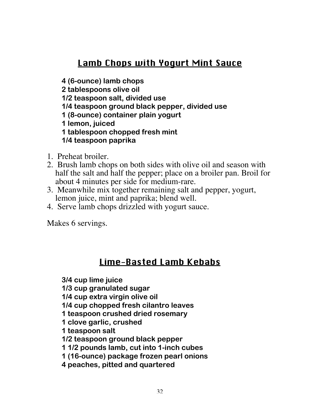# Lamb Chops with Yogurt Mint Sauce

**4 (6-ounce) lamb chops**

**2 tablespoons olive oil**

**1/2 teaspoon salt, divided use**

**1/4 teaspoon ground black pepper, divided use**

**1 (8-ounce) container plain yogurt**

**1 lemon, juiced**

**1 tablespoon chopped fresh mint**

**1/4 teaspoon paprika**

- 1. Preheat broiler.
- 2. Brush lamb chops on both sides with olive oil and season with half the salt and half the pepper; place on a broiler pan. Broil for about 4 minutes per side for medium-rare.
- 3. Meanwhile mix together remaining salt and pepper, yogurt, lemon juice, mint and paprika; blend well.
- 4. Serve lamb chops drizzled with yogurt sauce.

Makes 6 servings.

## Lime-Basted Lamb Kebabs

**3/4 cup lime juice**

**1/3 cup granulated sugar**

**1/4 cup extra virgin olive oil**

**1/4 cup chopped fresh cilantro leaves**

**1 teaspoon crushed dried rosemary**

**1 clove garlic, crushed**

**1 teaspoon salt**

**1/2 teaspoon ground black pepper**

**1 1/2 pounds lamb, cut into 1-inch cubes**

**1 (16-ounce) package frozen pearl onions**

**4 peaches, pitted and quartered**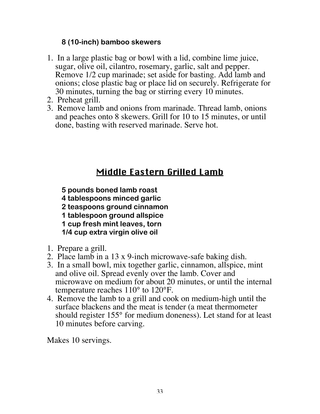#### **8 (10-inch) bamboo skewers**

- 1. In a large plastic bag or bowl with a lid, combine lime juice, sugar, olive oil, cilantro, rosemary, garlic, salt and pepper. Remove 1/2 cup marinade; set aside for basting. Add lamb and onions; close plastic bag or place lid on securely. Refrigerate for 30 minutes, turning the bag or stirring every 10 minutes.
- 2. Preheat grill.
- 3. Remove lamb and onions from marinade. Thread lamb, onions and peaches onto 8 skewers. Grill for 10 to 15 minutes, or until done, basting with reserved marinade. Serve hot.

# Middle Eastern Grilled Lamb

- **5 pounds boned lamb roast**
- **4 tablespoons minced garlic**
- **2 teaspoons ground cinnamon**
- **1 tablespoon ground allspice**
- **1 cup fresh mint leaves, torn**
- **1/4 cup extra virgin olive oil**
- 1. Prepare a grill.
- 2. Place lamb in a 13 x 9-inch microwave-safe baking dish.
- 3. In a small bowl, mix together garlic, cinnamon, allspice, mint and olive oil. Spread evenly over the lamb. Cover and microwave on medium for about 20 minutes, or until the internal temperature reaches 110° to 120°F.
- 4. Remove the lamb to a grill and cook on medium-high until the surface blackens and the meat is tender (a meat thermometer should register 155° for medium doneness). Let stand for at least 10 minutes before carving.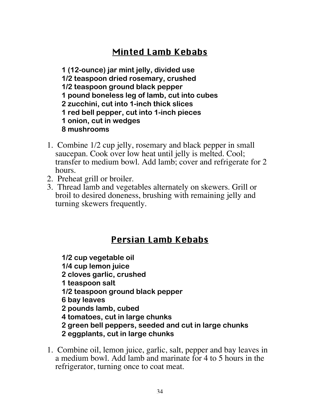# Minted Lamb Kebabs

**1 (12-ounce) jar mint jelly, divided use 1/2 teaspoon dried rosemary, crushed 1/2 teaspoon ground black pepper 1 pound boneless leg of lamb, cut into cubes 2 zucchini, cut into 1-inch thick slices 1 red bell pepper, cut into 1-inch pieces 1 onion, cut in wedges 8 mushrooms**

- 1. Combine 1/2 cup jelly, rosemary and black pepper in small saucepan. Cook over low heat until jelly is melted. Cool; transfer to medium bowl. Add lamb; cover and refrigerate for 2 hours.
- 2. Preheat grill or broiler.
- 3. Thread lamb and vegetables alternately on skewers. Grill or broil to desired doneness, brushing with remaining jelly and turning skewers frequently.

#### Persian Lamb Kebabs

**1/2 cup vegetable oil**

**1/4 cup lemon juice**

**2 cloves garlic, crushed**

- **1 teaspoon salt**
- **1/2 teaspoon ground black pepper**
- **6 bay leaves**
- **2 pounds lamb, cubed**
- **4 tomatoes, cut in large chunks**
- **2 green bell peppers, seeded and cut in large chunks**
- **2 eggplants, cut in large chunks**
- 1. Combine oil, lemon juice, garlic, salt, pepper and bay leaves in a medium bowl. Add lamb and marinate for 4 to 5 hours in the refrigerator, turning once to coat meat.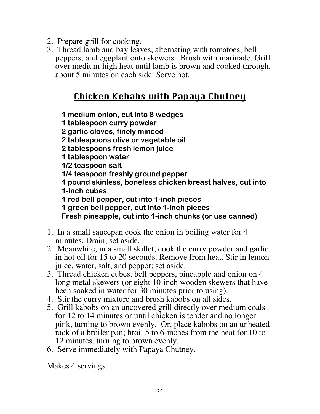- 2. Prepare grill for cooking.
- 3. Thread lamb and bay leaves, alternating with tomatoes, bell peppers, and eggplant onto skewers. Brush with marinade. Grill over medium-high heat until lamb is brown and cooked through, about 5 minutes on each side. Serve hot.

#### Chicken Kebabs with Papaya Chutney

**1 medium onion, cut into 8 wedges**

**1 tablespoon curry powder**

**2 garlic cloves, finely minced**

**2 tablespoons olive or vegetable oil**

**2 tablespoons fresh lemon juice**

**1 tablespoon water**

**1/2 teaspoon salt**

**1/4 teaspoon freshly ground pepper**

**1 pound skinless, boneless chicken breast halves, cut into 1-inch cubes**

**1 red bell pepper, cut into 1-inch pieces**

**1 green bell pepper, cut into 1-inch pieces**

**Fresh pineapple, cut into 1-inch chunks (or use canned)**

- 1. In a small saucepan cook the onion in boiling water for 4 minutes. Drain; set aside.
- 2. Meanwhile, in a small skillet, cook the curry powder and garlic in hot oil for 15 to 20 seconds. Remove from heat. Stir in lemon juice, water, salt, and pepper; set aside.
- 3. Thread chicken cubes, bell peppers, pineapple and onion on 4 long metal skewers (or eight 10-inch wooden skewers that have been soaked in water for 30 minutes prior to using).
- 4. Stir the curry mixture and brush kabobs on all sides.
- 5. Grill kabobs on an uncovered grill directly over medium coals for 12 to 14 minutes or until chicken is tender and no longer pink, turning to brown evenly. Or, place kabobs on an unheated rack of a broiler pan; broil 5 to 6-inches from the heat for 10 to 12 minutes, turning to brown evenly.
- 6. Serve immediately with Papaya Chutney.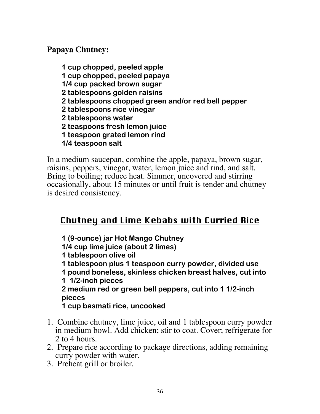#### **Papaya Chutney:**

**1 cup chopped, peeled apple 1 cup chopped, peeled papaya 1/4 cup packed brown sugar 2 tablespoons golden raisins 2 tablespoons chopped green and/or red bell pepper 2 tablespoons rice vinegar 2 tablespoons water 2 teaspoons fresh lemon juice 1 teaspoon grated lemon rind 1/4 teaspoon salt**

In a medium saucepan, combine the apple, papaya, brown sugar, raisins, peppers, vinegar, water, lemon juice and rind, and salt. Bring to boiling; reduce heat. Simmer, uncovered and stirring occasionally, about 15 minutes or until fruit is tender and chutney is desired consistency.

## Chutney and Lime Kebabs with Curried Rice

**1 (9-ounce) jar Hot Mango Chutney 1/4 cup lime juice (about 2 limes) 1 tablespoon olive oil 1 tablespoon plus 1 teaspoon curry powder, divided use 1 pound boneless, skinless chicken breast halves, cut into 1 1/2-inch pieces 2 medium red or green bell peppers, cut into 1 1/2-inch pieces 1 cup basmati rice, uncooked**

- 1. Combine chutney, lime juice, oil and 1 tablespoon curry powder in medium bowl. Add chicken; stir to coat. Cover; refrigerate for 2 to 4 hours.
- 2. Prepare rice according to package directions, adding remaining curry powder with water.
- 3. Preheat grill or broiler.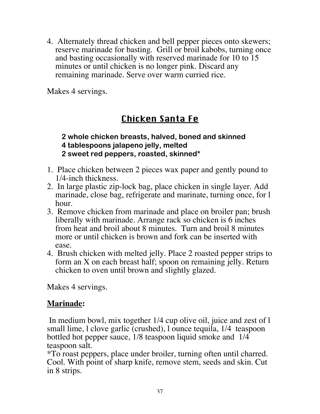4. Alternately thread chicken and bell pepper pieces onto skewers; reserve marinade for basting. Grill or broil kabobs, turning once and basting occasionally with reserved marinade for 10 to 15 minutes or until chicken is no longer pink. Discard any remaining marinade. Serve over warm curried rice.

Makes 4 servings.

# Chicken Santa Fe

#### **2 whole chicken breasts, halved, boned and skinned 4 tablespoons jalapeno jelly, melted 2 sweet red peppers, roasted, skinned\***

- 1. Place chicken between 2 pieces wax paper and gently pound to 1/4-inch thickness.
- 2. In large plastic zip-lock bag, place chicken in single layer. Add marinade, close bag, refrigerate and marinate, turning once, for l hour.
- 3. Remove chicken from marinade and place on broiler pan; brush liberally with marinade. Arrange rack so chicken is 6 inches from heat and broil about 8 minutes. Turn and broil 8 minutes more or until chicken is brown and fork can be inserted with ease.
- 4. Brush chicken with melted jelly. Place 2 roasted pepper strips to form an X on each breast half; spoon on remaining jelly. Return chicken to oven until brown and slightly glazed.

Makes 4 servings.

## **Marinade:**

 In medium bowl, mix together 1/4 cup olive oil, juice and zest of l small lime, l clove garlic (crushed), l ounce tequila,  $1/4$  teaspoon bottled hot pepper sauce, 1/8 teaspoon liquid smoke and 1/4 teaspoon salt.

\*To roast peppers, place under broiler, turning often until charred. Cool. With point of sharp knife, remove stem, seeds and skin. Cut in 8 strips.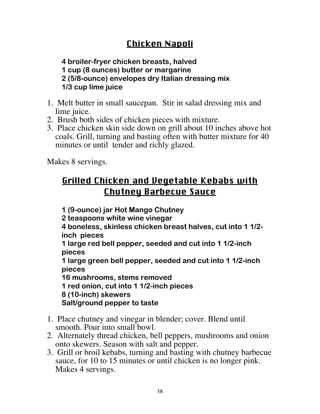# Chicken Napoli

**4 broiler-fryer chicken breasts, halved 1 cup (8 ounces) butter or margarine 2 (5/8-ounce) envelopes dry Italian dressing mix 1/3 cup lime juice**

- 1. Melt butter in small saucepan. Stir in salad dressing mix and lime juice.
- 2. Brush both sides of chicken pieces with mixture.
- 3. Place chicken skin side down on grill about 10 inches above hot coals. Grill, turning and basting often with butter mixture for 40 minutes or until tender and richly glazed.

Makes 8 servings.

# Grilled Chicken and Vegetable Kebabs with Chutney Barbecue Sauce

**1 (9-ounce) jar Hot Mango Chutney 2 teaspoons white wine vinegar 4 boneless, skinless chicken breast halves, cut into 1 1/2 inch pieces 1 large red bell pepper, seeded and cut into 1 1/2-inch pieces 1 large green bell pepper, seeded and cut into 1 1/2-inch pieces 16 mushrooms, stems removed 1 red onion, cut into 1 1/2-inch pieces 8 (10-inch) skewers Salt/ground pepper to taste** 1. Place chutney and vinegar in blender; cover. Blend until

smooth. Pour into small bowl.

- 2. Alternately thread chicken, bell peppers, mushrooms and onion onto skewers. Season with salt and pepper.
- 3. Grill or broil kebabs, turning and basting with chutney barbecue sauce, for 10 to 15 minutes or until chicken is no longer pink. Makes 4 servings.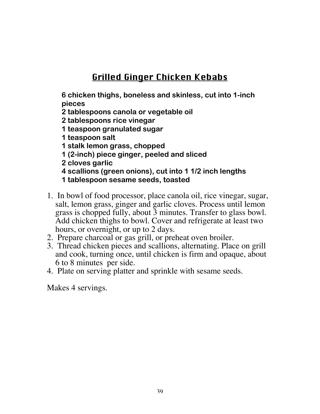# Grilled Ginger Chicken Kebabs

**6 chicken thighs, boneless and skinless, cut into 1-inch pieces**

- **2 tablespoons canola or vegetable oil**
- **2 tablespoons rice vinegar**
- **1 teaspoon granulated sugar**
- **1 teaspoon salt**
- **1 stalk lemon grass, chopped**
- **1 (2-inch) piece ginger, peeled and sliced**
- **2 cloves garlic**
- **4 scallions (green onions), cut into 1 1/2 inch lengths**
- **1 tablespoon sesame seeds, toasted**
- 1. In bowl of food processor, place canola oil, rice vinegar, sugar, salt, lemon grass, ginger and garlic cloves. Process until lemon grass is chopped fully, about 3 minutes. Transfer to glass bowl. Add chicken thighs to bowl. Cover and refrigerate at least two hours, or overnight, or up to 2 days.
- 2. Prepare charcoal or gas grill, or preheat oven broiler.
- 3. Thread chicken pieces and scallions, alternating. Place on grill and cook, turning once, until chicken is firm and opaque, about 6 to 8 minutes per side.
- 4. Plate on serving platter and sprinkle with sesame seeds.

Makes 4 servings.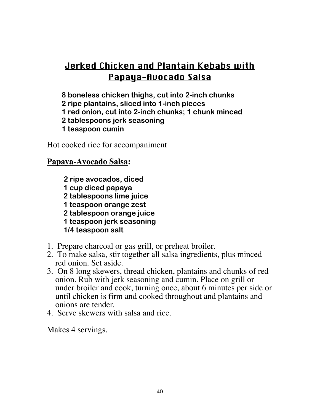# Jerked Chicken and Plantain Kebabs with Papaya-Avocado Salsa

**8 boneless chicken thighs, cut into 2-inch chunks**

**2 ripe plantains, sliced into 1-inch pieces**

**1 red onion, cut into 2-inch chunks; 1 chunk minced**

- **2 tablespoons jerk seasoning**
- **1 teaspoon cumin**

Hot cooked rice for accompaniment

## **Papaya-Avocado Salsa:**

**2 ripe avocados, diced 1 cup diced papaya 2 tablespoons lime juice 1 teaspoon orange zest 2 tablespoon orange juice 1 teaspoon jerk seasoning 1/4 teaspoon salt**

- 1. Prepare charcoal or gas grill, or preheat broiler.
- 2. To make salsa, stir together all salsa ingredients, plus minced red onion. Set aside.
- 3. On 8 long skewers, thread chicken, plantains and chunks of red onion. Rub with jerk seasoning and cumin. Place on grill or under broiler and cook, turning once, about 6 minutes per side or until chicken is firm and cooked throughout and plantains and onions are tender.
- 4. Serve skewers with salsa and rice.

Makes 4 servings.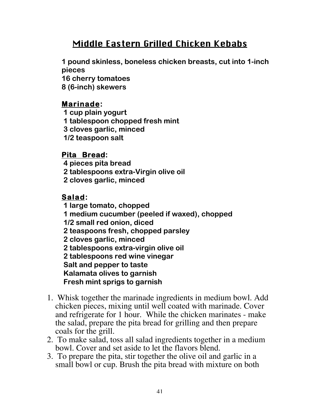# Middle Eastern Grilled Chicken Kebabs

**1 pound skinless, boneless chicken breasts, cut into 1-inch pieces 16 cherry tomatoes 8 (6-inch) skewers**

#### **Marinade:**

 **1 cup plain yogurt 1 tablespoon chopped fresh mint 3 cloves garlic, minced 1/2 teaspoon salt**

#### **Pita Bread:**

 **4 pieces pita bread 2 tablespoons extra-Virgin olive oil 2 cloves garlic, minced**

### **Salad:**

 **1 large tomato, chopped 1 medium cucumber (peeled if waxed), chopped 1/2 small red onion, diced 2 teaspoons fresh, chopped parsley 2 cloves garlic, minced 2 tablespoons extra-virgin olive oil 2 tablespoons red wine vinegar Salt and pepper to taste Kalamata olives to garnish Fresh mint sprigs to garnish**

- 1. Whisk together the marinade ingredients in medium bowl. Add chicken pieces, mixing until well coated with marinade. Cover and refrigerate for 1 hour. While the chicken marinates - make the salad, prepare the pita bread for grilling and then prepare coals for the grill.
- 2. To make salad, toss all salad ingredients together in a medium bowl. Cover and set aside to let the flavors blend.
- 3. To prepare the pita, stir together the olive oil and garlic in a small bowl or cup. Brush the pita bread with mixture on both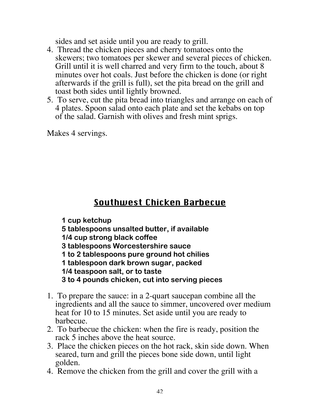sides and set aside until you are ready to grill.

- 4. Thread the chicken pieces and cherry tomatoes onto the skewers; two tomatoes per skewer and several pieces of chicken. Grill until it is well charred and very firm to the touch, about 8 minutes over hot coals. Just before the chicken is done (or right afterwards if the grill is full), set the pita bread on the grill and toast both sides until lightly browned.
- 5. To serve, cut the pita bread into triangles and arrange on each of 4 plates. Spoon salad onto each plate and set the kebabs on top of the salad. Garnish with olives and fresh mint sprigs.

Makes 4 servings.

# Southwest Chicken Barbecue

**1 cup ketchup**

**5 tablespoons unsalted butter, if available**

**1/4 cup strong black coffee**

**3 tablespoons Worcestershire sauce**

**1 to 2 tablespoons pure ground hot chilies**

**1 tablespoon dark brown sugar, packed**

**1/4 teaspoon salt, or to taste**

**3 to 4 pounds chicken, cut into serving pieces**

- 1. To prepare the sauce: in a 2-quart saucepan combine all the ingredients and all the sauce to simmer, uncovered over medium heat for 10 to 15 minutes. Set aside until you are ready to barbecue.
- 2. To barbecue the chicken: when the fire is ready, position the rack 5 inches above the heat source.
- 3. Place the chicken pieces on the hot rack, skin side down. When seared, turn and grill the pieces bone side down, until light golden.
- 4. Remove the chicken from the grill and cover the grill with a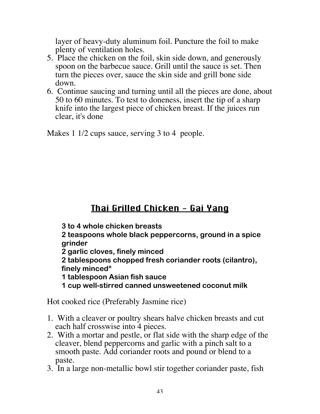layer of heavy-duty aluminum foil. Puncture the foil to make plenty of ventilation holes.

- 5. Place the chicken on the foil, skin side down, and generously spoon on the barbecue sauce. Grill until the sauce is set. Then turn the pieces over, sauce the skin side and grill bone side down.
- 6. Continue saucing and turning until all the pieces are done, about 50 to 60 minutes. To test to doneness, insert the tip of a sharp knife into the largest piece of chicken breast. If the juices run clear, it's done

Makes 1 1/2 cups sauce, serving 3 to 4 people.

# Thai Grilled Chicken - Gai Yang

**3 to 4 whole chicken breasts**

**2 teaspoons whole black peppercorns, ground in a spice grinder**

**2 garlic cloves, finely minced**

**2 tablespoons chopped fresh coriander roots (cilantro), finely minced\***

**1 tablespoon Asian fish sauce**

**1 cup well-stirred canned unsweetened coconut milk**

Hot cooked rice (Preferably Jasmine rice)

- 1. With a cleaver or poultry shears halve chicken breasts and cut each half crosswise into 4 pieces.
- 2. With a mortar and pestle, or flat side with the sharp edge of the cleaver, blend peppercorns and garlic with a pinch salt to a smooth paste. Add coriander roots and pound or blend to a paste.
- 3. In a large non-metallic bowl stir together coriander paste, fish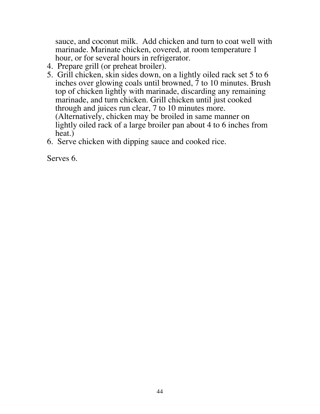sauce, and coconut milk. Add chicken and turn to coat well with marinade. Marinate chicken, covered, at room temperature 1 hour, or for several hours in refrigerator.

- 4. Prepare grill (or preheat broiler).
- 5. Grill chicken, skin sides down, on a lightly oiled rack set 5 to 6 inches over glowing coals until browned, 7 to 10 minutes. Brush top of chicken lightly with marinade, discarding any remaining marinade, and turn chicken. Grill chicken until just cooked through and juices run clear, 7 to 10 minutes more. (Alternatively, chicken may be broiled in same manner on lightly oiled rack of a large broiler pan about 4 to 6 inches from heat.)
- 6. Serve chicken with dipping sauce and cooked rice.

Serves 6.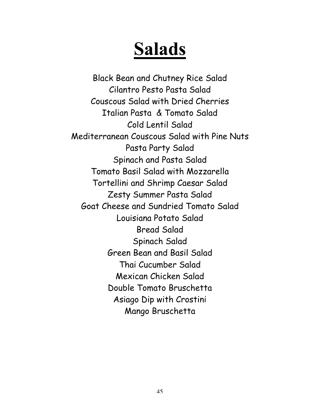# Salads

Black Bean and Chutney Rice Salad Cilantro Pesto Pasta Salad Couscous Salad with Dried Cherries Italian Pasta & Tomato Salad Cold Lentil Salad Mediterranean Couscous Salad with Pine Nuts Pasta Party Salad Spinach and Pasta Salad Tomato Basil Salad with Mozzarella Tortellini and Shrimp Caesar Salad Zesty Summer Pasta Salad Goat Cheese and Sundried Tomato Salad Louisiana Potato Salad Bread Salad Spinach Salad Green Bean and Basil Salad Thai Cucumber Salad Mexican Chicken Salad Double Tomato Bruschetta Asiago Dip with Crostini Mango Bruschetta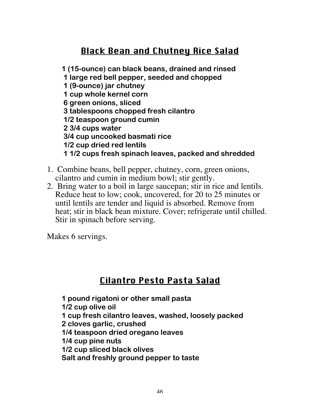# Black Bean and Chutney Rice Salad

**1 (15-ounce) can black beans, drained and rinsed 1 large red bell pepper, seeded and chopped 1 (9-ounce) jar chutney 1 cup whole kernel corn 6 green onions, sliced 3 tablespoons chopped fresh cilantro 1/2 teaspoon ground cumin 2 3/4 cups water 3/4 cup uncooked basmati rice 1/2 cup dried red lentils 1 1/2 cups fresh spinach leaves, packed and shredded**

- 1. Combine beans, bell pepper, chutney, corn, green onions, cilantro and cumin in medium bowl; stir gently.
- 2. Bring water to a boil in large saucepan; stir in rice and lentils. Reduce heat to low; cook, uncovered, for 20 to 25 minutes or until lentils are tender and liquid is absorbed. Remove from heat; stir in black bean mixture. Cover; refrigerate until chilled. Stir in spinach before serving.

Makes 6 servings.

## Cilantro Pesto Pasta Salad

**1 pound rigatoni or other small pasta 1/2 cup olive oil 1 cup fresh cilantro leaves, washed, loosely packed 2 cloves garlic, crushed 1/4 teaspoon dried oregano leaves**

**1/4 cup pine nuts**

**1/2 cup sliced black olives**

**Salt and freshly ground pepper to taste**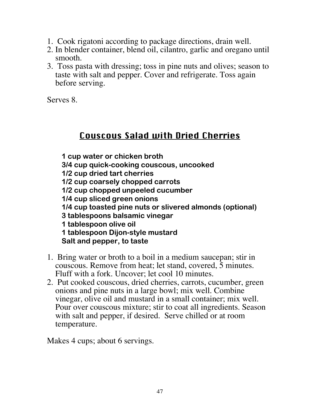- 1. Cook rigatoni according to package directions, drain well.
- 2. In blender container, blend oil, cilantro, garlic and oregano until smooth.
- 3. Toss pasta with dressing; toss in pine nuts and olives; season to taste with salt and pepper. Cover and refrigerate. Toss again before serving.

Serves 8.

## Couscous Salad with Dried Cherries

**1 cup water or chicken broth 3/4 cup quick-cooking couscous, uncooked 1/2 cup dried tart cherries 1/2 cup coarsely chopped carrots 1/2 cup chopped unpeeled cucumber 1/4 cup sliced green onions 1/4 cup toasted pine nuts or slivered almonds (optional) 3 tablespoons balsamic vinegar 1 tablespoon olive oil 1 tablespoon Dijon-style mustard Salt and pepper, to taste**

- 1. Bring water or broth to a boil in a medium saucepan; stir in couscous. Remove from heat; let stand, covered, 5 minutes. Fluff with a fork. Uncover; let cool 10 minutes.
- 2. Put cooked couscous, dried cherries, carrots, cucumber, green onions and pine nuts in a large bowl; mix well. Combine vinegar, olive oil and mustard in a small container; mix well. Pour over couscous mixture; stir to coat all ingredients. Season with salt and pepper, if desired. Serve chilled or at room temperature.

Makes 4 cups; about 6 servings.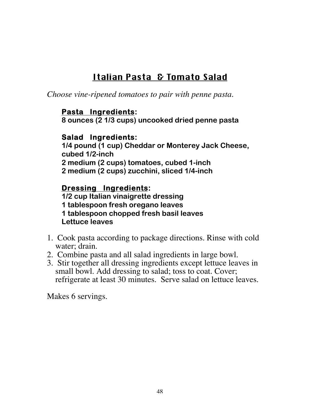# Italian Pasta & Tomato Salad

*Choose vine-ripened tomatoes to pair with penne pasta.*

### **Pasta Ingredients:**

**8 ounces (2 1/3 cups) uncooked dried penne pasta**

## **Salad Ingredients:**

**1/4 pound (1 cup) Cheddar or Monterey Jack Cheese, cubed 1/2-inch 2 medium (2 cups) tomatoes, cubed 1-inch 2 medium (2 cups) zucchini, sliced 1/4-inch**

## **Dressing Ingredients:**

**1/2 cup Italian vinaigrette dressing 1 tablespoon fresh oregano leaves 1 tablespoon chopped fresh basil leaves Lettuce leaves**

- 1. Cook pasta according to package directions. Rinse with cold water; drain.
- 2. Combine pasta and all salad ingredients in large bowl.
- 3. Stir together all dressing ingredients except lettuce leaves in small bowl. Add dressing to salad; toss to coat. Cover; refrigerate at least 30 minutes. Serve salad on lettuce leaves.

Makes 6 servings.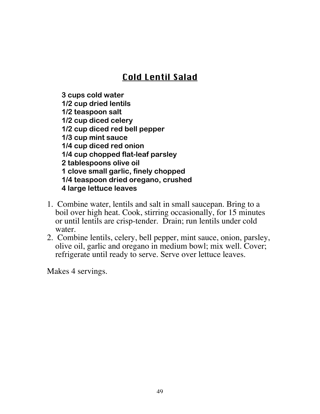# Cold Lentil Salad

**3 cups cold water 1/2 cup dried lentils 1/2 teaspoon salt 1/2 cup diced celery 1/2 cup diced red bell pepper 1/3 cup mint sauce 1/4 cup diced red onion 1/4 cup chopped flat-leaf parsley 2 tablespoons olive oil 1 clove small garlic, finely chopped 1/4 teaspoon dried oregano, crushed 4 large lettuce leaves**

- 1. Combine water, lentils and salt in small saucepan. Bring to a boil over high heat. Cook, stirring occasionally, for 15 minutes or until lentils are crisp-tender. Drain; run lentils under cold water.
- 2. Combine lentils, celery, bell pepper, mint sauce, onion, parsley, olive oil, garlic and oregano in medium bowl; mix well. Cover; refrigerate until ready to serve. Serve over lettuce leaves.

Makes 4 servings.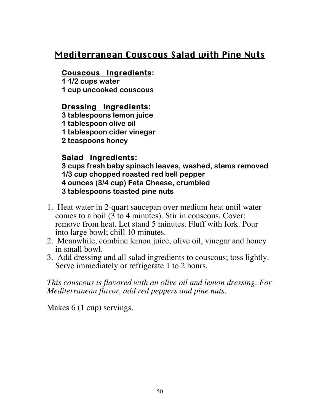## Mediterranean Couscous Salad with Pine Nuts

### **Couscous Ingredients:**

**1 1/2 cups water 1 cup uncooked couscous**

## **Dressing Ingredients:**

**3 tablespoons lemon juice 1 tablespoon olive oil 1 tablespoon cider vinegar**

**2 teaspoons honey**

## **Salad Ingredients:**

**3 cups fresh baby spinach leaves, washed, stems removed 1/3 cup chopped roasted red bell pepper 4 ounces (3/4 cup) Feta Cheese, crumbled 3 tablespoons toasted pine nuts**

- 1. Heat water in 2-quart saucepan over medium heat until water comes to a boil  $(3 \text{ to } 4 \text{ minutes})$ . Stir in couscous. Cover: remove from heat. Let stand 5 minutes. Fluff with fork. Pour into large bowl; chill 10 minutes.
- 2. Meanwhile, combine lemon juice, olive oil, vinegar and honey in small bowl.
- 3. Add dressing and all salad ingredients to couscous; toss lightly. Serve immediately or refrigerate 1 to 2 hours.

*This couscous is flavored with an olive oil and lemon dressing. For Mediterranean flavor, add red peppers and pine nuts.*

Makes 6 (1 cup) servings.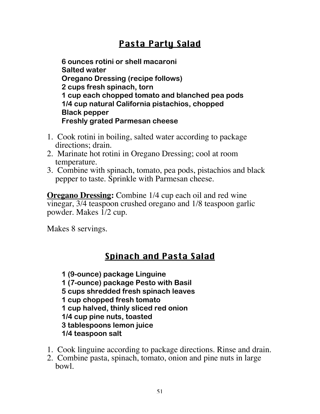# Pasta Party Salad

**6 ounces rotini or shell macaroni Salted water Oregano Dressing (recipe follows) 2 cups fresh spinach, torn 1 cup each chopped tomato and blanched pea pods 1/4 cup natural California pistachios, chopped Black pepper Freshly grated Parmesan cheese**

- 1. Cook rotini in boiling, salted water according to package directions; drain.
- 2. Marinate hot rotini in Oregano Dressing; cool at room temperature.
- 3. Combine with spinach, tomato, pea pods, pistachios and black pepper to taste. Sprinkle with Parmesan cheese.

**Oregano Dressing:** Combine 1/4 cup each oil and red wine vinegar, 3/4 teaspoon crushed oregano and 1/8 teaspoon garlic powder. Makes 1/2 cup.

Makes 8 servings.

# Spinach and Pasta Salad

**1 (9-ounce) package Linguine 1 (7-ounce) package Pesto with Basil 5 cups shredded fresh spinach leaves 1 cup chopped fresh tomato 1 cup halved, thinly sliced red onion 1/4 cup pine nuts, toasted 3 tablespoons lemon juice 1/4 teaspoon salt**

- 1. Cook linguine according to package directions. Rinse and drain.
- 2. Combine pasta, spinach, tomato, onion and pine nuts in large bowl.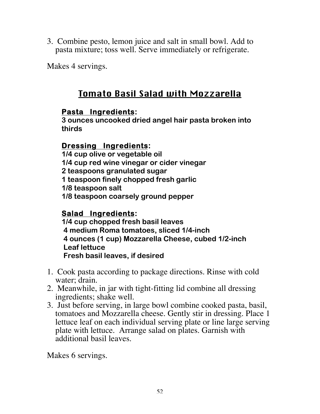3. Combine pesto, lemon juice and salt in small bowl. Add to pasta mixture; toss well. Serve immediately or refrigerate.

Makes 4 servings.

# Tomato Basil Salad with Mozzarella

## **Pasta Ingredients:**

**3 ounces uncooked dried angel hair pasta broken into thirds**

## **Dressing Ingredients:**

**1/4 cup olive or vegetable oil 1/4 cup red wine vinegar or cider vinegar 2 teaspoons granulated sugar 1 teaspoon finely chopped fresh garlic 1/8 teaspoon salt 1/8 teaspoon coarsely ground pepper**

## **Salad Ingredients:**

**1/4 cup chopped fresh basil leaves 4 medium Roma tomatoes, sliced 1/4-inch 4 ounces (1 cup) Mozzarella Cheese, cubed 1/2-inch Leaf lettuce Fresh basil leaves, if desired**

- 1. Cook pasta according to package directions. Rinse with cold water; drain.
- 2. Meanwhile, in jar with tight-fitting lid combine all dressing ingredients; shake well.
- 3. Just before serving, in large bowl combine cooked pasta, basil, tomatoes and Mozzarella cheese. Gently stir in dressing. Place 1 lettuce leaf on each individual serving plate or line large serving plate with lettuce. Arrange salad on plates. Garnish with additional basil leaves.

Makes 6 servings.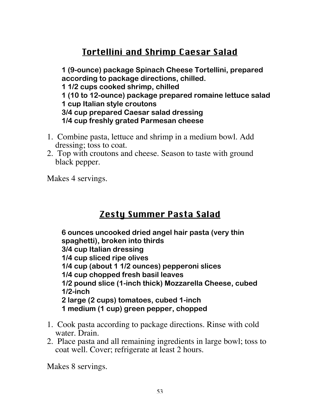# Tortellini and Shrimp Caesar Salad

**1 (9-ounce) package Spinach Cheese Tortellini, prepared according to package directions, chilled. 1 1/2 cups cooked shrimp, chilled 1 (10 to 12-ounce) package prepared romaine lettuce salad 1 cup Italian style croutons 3/4 cup prepared Caesar salad dressing 1/4 cup freshly grated Parmesan cheese**

- 1. Combine pasta, lettuce and shrimp in a medium bowl. Add dressing; toss to coat.
- 2. Top with croutons and cheese. Season to taste with ground black pepper.

Makes 4 servings.

## Zesty Summer Pasta Salad

**6 ounces uncooked dried angel hair pasta (very thin spaghetti), broken into thirds 3/4 cup Italian dressing 1/4 cup sliced ripe olives 1/4 cup (about 1 1/2 ounces) pepperoni slices 1/4 cup chopped fresh basil leaves 1/2 pound slice (1-inch thick) Mozzarella Cheese, cubed 1/2-inch 2 large (2 cups) tomatoes, cubed 1-inch 1 medium (1 cup) green pepper, chopped**

- 1. Cook pasta according to package directions. Rinse with cold water. Drain.
- 2. Place pasta and all remaining ingredients in large bowl; toss to coat well. Cover; refrigerate at least 2 hours.

Makes 8 servings.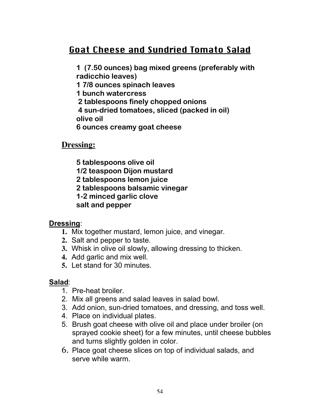# Goat Cheese and Sundried Tomato Salad

**1 (7.50 ounces) bag mixed greens (preferably with radicchio leaves)**

**1 7/8 ounces spinach leaves**

**1 bunch watercress**

 **2 tablespoons finely chopped onions**

 **4 sun-dried tomatoes, sliced (packed in oil) olive oil**

**6 ounces creamy goat cheese**

**Dressing:**

**5 tablespoons olive oil**

**1/2 teaspoon Dijon mustard**

**2 tablespoons lemon juice**

**2 tablespoons balsamic vinegar**

**1-2 minced garlic clove**

**salt and pepper**

#### **Dressing**:

- **1.** Mix together mustard, lemon juice, and vinegar.
- **2.** Salt and pepper to taste.
- **3.** Whisk in olive oil slowly, allowing dressing to thicken.
- **4.** Add garlic and mix well.
- **5.** Let stand for 30 minutes.

#### **Salad**:

- 1. Pre-heat broiler.
- 2. Mix all greens and salad leaves in salad bowl.
- 3. Add onion, sun-dried tomatoes, and dressing, and toss well.
- 4. Place on individual plates.
- 5. Brush goat cheese with olive oil and place under broiler (on sprayed cookie sheet) for a few minutes, until cheese bubbles and turns slightly golden in color.
- 6. Place goat cheese slices on top of individual salads, and serve while warm.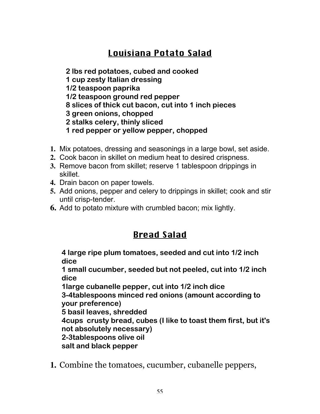# Louisiana Potato Salad

**2 lbs red potatoes, cubed and cooked**

**1 cup zesty Italian dressing**

**1/2 teaspoon paprika**

- **1/2 teaspoon ground red pepper**
- **8 slices of thick cut bacon, cut into 1 inch pieces**
- **3 green onions, chopped**
- **2 stalks celery, thinly sliced**
- **1 red pepper or yellow pepper, chopped**
- **1.** Mix potatoes, dressing and seasonings in a large bowl, set aside.
- **2.** Cook bacon in skillet on medium heat to desired crispness.
- **3.** Remove bacon from skillet; reserve 1 tablespoon drippings in skillet.
- **4.** Drain bacon on paper towels.
- **5.** Add onions, pepper and celery to drippings in skillet; cook and stir until crisp-tender.
- **6.** Add to potato mixture with crumbled bacon; mix lightly.

# Bread Salad

**4 large ripe plum tomatoes, seeded and cut into 1/2 inch dice**

**1 small cucumber, seeded but not peeled, cut into 1/2 inch dice**

**1large cubanelle pepper, cut into 1/2 inch dice**

**3-4tablespoons minced red onions (amount according to your preference)**

**5 basil leaves, shredded**

**4cups crusty bread, cubes (I like to toast them first, but it's not absolutely necessary)**

**2-3tablespoons olive oil**

**salt and black pepper**

**1.** Combine the tomatoes, cucumber, cubanelle peppers,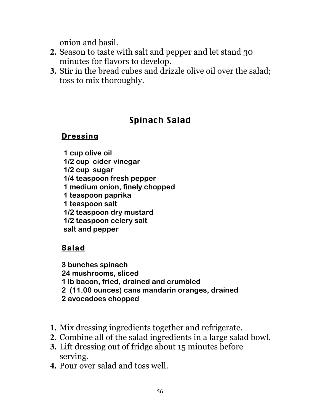onion and basil.

- **2.** Season to taste with salt and pepper and let stand 30 minutes for flavors to develop.
- **3.** Stir in the bread cubes and drizzle olive oil over the salad; toss to mix thoroughly.

# Spinach Salad

## **Dressing**

**1 cup olive oil 1/2 cup cider vinegar 1/2 cup sugar 1/4 teaspoon fresh pepper 1 medium onion, finely chopped 1 teaspoon paprika 1 teaspoon salt 1/2 teaspoon dry mustard 1/2 teaspoon celery salt salt and pepper**

## **Salad**

**3 bunches spinach 24 mushrooms, sliced 1 lb bacon, fried, drained and crumbled 2 (11.00 ounces) cans mandarin oranges, drained 2 avocadoes chopped**

- **1.** Mix dressing ingredients together and refrigerate.
- **2.** Combine all of the salad ingredients in a large salad bowl.
- **3.** Lift dressing out of fridge about 15 minutes before serving.
- **4.** Pour over salad and toss well.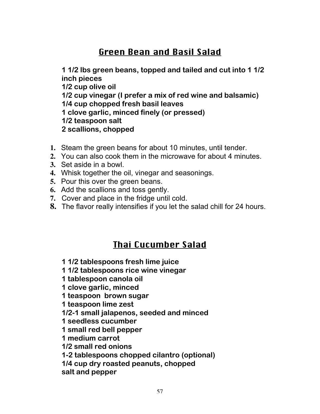# Green Bean and Basil Salad

**1 1/2 lbs green beans, topped and tailed and cut into 1 1/2 inch pieces 1/2 cup olive oil 1/2 cup vinegar (I prefer a mix of red wine and balsamic) 1/4 cup chopped fresh basil leaves 1 clove garlic, minced finely (or pressed) 1/2 teaspoon salt 2 scallions, chopped**

- **1.** Steam the green beans for about 10 minutes, until tender.
- **2.** You can also cook them in the microwave for about 4 minutes.
- **3.** Set aside in a bowl.
- **4.** Whisk together the oil, vinegar and seasonings.
- **5.** Pour this over the green beans.
- **6.** Add the scallions and toss gently.
- **7.** Cover and place in the fridge until cold.
- **8.** The flavor really intensifies if you let the salad chill for 24 hours.

## Thai Cucumber Salad

- **1 1/2 tablespoons fresh lime juice**
- **1 1/2 tablespoons rice wine vinegar**
- **1 tablespoon canola oil**
- **1 clove garlic, minced**
- **1 teaspoon brown sugar**
- **1 teaspoon lime zest**
- **1/2-1 small jalapenos, seeded and minced**
- **1 seedless cucumber**
- **1 small red bell pepper**
- **1 medium carrot**
- **1/2 small red onions**
- **1-2 tablespoons chopped cilantro (optional)**
- **1/4 cup dry roasted peanuts, chopped**
- **salt and pepper**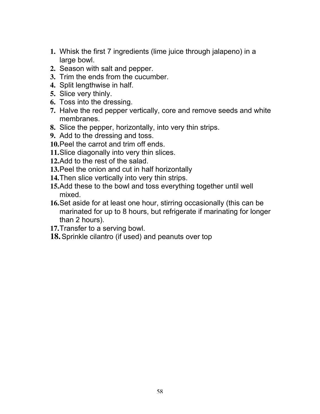- **1.** Whisk the first 7 ingredients (lime juice through jalapeno) in a large bowl.
- **2.** Season with salt and pepper.
- **3.** Trim the ends from the cucumber.
- **4.** Split lengthwise in half.
- **5.** Slice very thinly.
- **6.** Toss into the dressing.
- **7.** Halve the red pepper vertically, core and remove seeds and white membranes.
- **8.** Slice the pepper, horizontally, into very thin strips.
- **9.** Add to the dressing and toss.
- **10.**Peel the carrot and trim off ends.
- **11.**Slice diagonally into very thin slices.
- **12.**Add to the rest of the salad.
- **13.**Peel the onion and cut in half horizontally
- **14.**Then slice vertically into very thin strips.
- **15.**Add these to the bowl and toss everything together until well mixed.
- **16.**Set aside for at least one hour, stirring occasionally (this can be marinated for up to 8 hours, but refrigerate if marinating for longer than 2 hours).
- **17.**Transfer to a serving bowl.
- **18.**Sprinkle cilantro (if used) and peanuts over top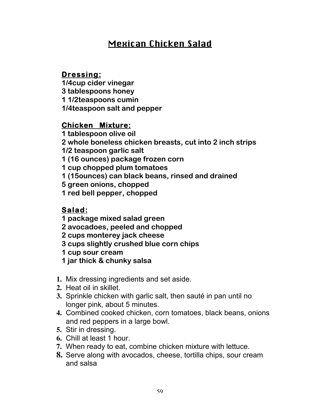# Mexican Chicken Salad

#### **Dressing:**

**1/4cup cider vinegar 3 tablespoons honey 1 1/2teaspoons cumin 1/4teaspoon salt and pepper**

#### **Chicken Mixture:**

**1 tablespoon olive oil**

**2 whole boneless chicken breasts, cut into 2 inch strips**

**1/2 teaspoon garlic salt**

**1 (16 ounces) package frozen corn**

**1 cup chopped plum tomatoes**

**1 (15ounces) can black beans, rinsed and drained**

**5 green onions, chopped**

**1 red bell pepper, chopped**

#### **Salad:**

**1 package mixed salad green**

**2 avocadoes, peeled and chopped**

**2 cups monterey jack cheese**

**3 cups slightly crushed blue corn chips**

**1 cup sour cream**

**1 jar thick & chunky salsa**

- **1.** Mix dressing ingredients and set aside.
- **2.** Heat oil in skillet.
- **3.** Sprinkle chicken with garlic salt, then sauté in pan until no longer pink, about 5 minutes.
- **4.** Combined cooked chicken, corn tomatoes, black beans, onions and red peppers in a large bowl.
- **5.** Stir in dressing.
- **6.** Chill at least 1 hour.
- **7.** When ready to eat, combine chicken mixture with lettuce.
- **8.** Serve along with avocados, cheese, tortilla chips, sour cream and salsa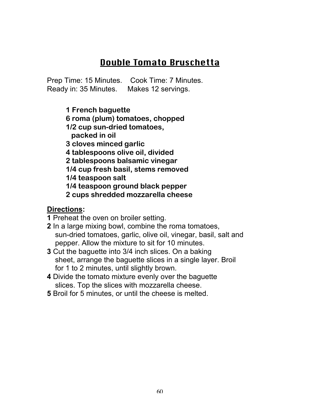# Double Tomato Bruschetta

Prep Time: 15 Minutes. Cook Time: 7 Minutes. Ready in: 35 Minutes. Makes 12 servings.

> **1 French baguette 6 roma (plum) tomatoes, chopped 1/2 cup sun-dried tomatoes, packed in oil 3 cloves minced garlic 4 tablespoons olive oil, divided 2 tablespoons balsamic vinegar 1/4 cup fresh basil, stems removed 1/4 teaspoon salt 1/4 teaspoon ground black pepper 2 cups shredded mozzarella cheese**

#### **Directions:**

**1** Preheat the oven on broiler setting.

- **2** In a large mixing bowl, combine the roma tomatoes, sun-dried tomatoes, garlic, olive oil, vinegar, basil, salt and pepper. Allow the mixture to sit for 10 minutes.
- **3** Cut the baguette into 3/4 inch slices. On a baking sheet, arrange the baguette slices in a single layer. Broil for 1 to 2 minutes, until slightly brown.
- **4** Divide the tomato mixture evenly over the baguette slices. Top the slices with mozzarella cheese.
- **5** Broil for 5 minutes, or until the cheese is melted.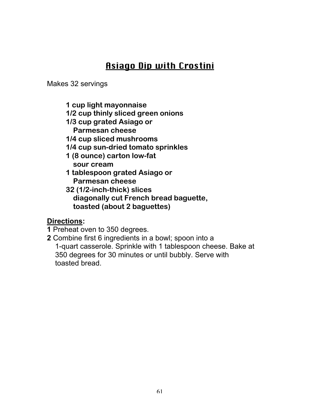# Asiago Dip with Crostini

Makes 32 servings

- **1 cup light mayonnaise**
- **1/2 cup thinly sliced green onions**
- **1/3 cup grated Asiago or**
	- **Parmesan cheese**
- **1/4 cup sliced mushrooms**
- **1/4 cup sun-dried tomato sprinkles**
- **1 (8 ounce) carton low-fat sour cream**
- **1 tablespoon grated Asiago or Parmesan cheese**
- **32 (1/2-inch-thick) slices diagonally cut French bread baguette, toasted (about 2 baguettes)**

#### **Directions:**

- **1** Preheat oven to 350 degrees.
- **2** Combine first 6 ingredients in a bowl; spoon into a 1-quart casserole. Sprinkle with 1 tablespoon cheese. Bake at 350 degrees for 30 minutes or until bubbly. Serve with toasted bread.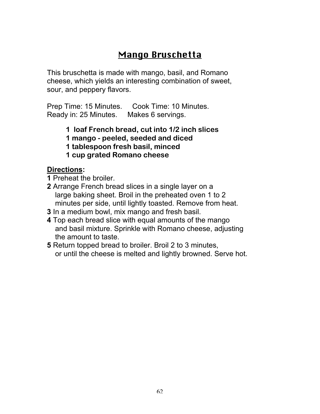# Mango Bruschetta

This bruschetta is made with mango, basil, and Romano cheese, which yields an interesting combination of sweet, sour, and peppery flavors.

Prep Time: 15 Minutes. Cook Time: 10 Minutes. Ready in: 25 Minutes. Makes 6 servings.

> **1 loaf French bread, cut into 1/2 inch slices 1 mango - peeled, seeded and diced 1 tablespoon fresh basil, minced 1 cup grated Romano cheese**

#### **Directions:**

**1** Preheat the broiler.

- **2** Arrange French bread slices in a single layer on a large baking sheet. Broil in the preheated oven 1 to 2 minutes per side, until lightly toasted. Remove from heat.
- **3** In a medium bowl, mix mango and fresh basil.
- **4** Top each bread slice with equal amounts of the mango and basil mixture. Sprinkle with Romano cheese, adjusting the amount to taste.
- **5** Return topped bread to broiler. Broil 2 to 3 minutes, or until the cheese is melted and lightly browned. Serve hot.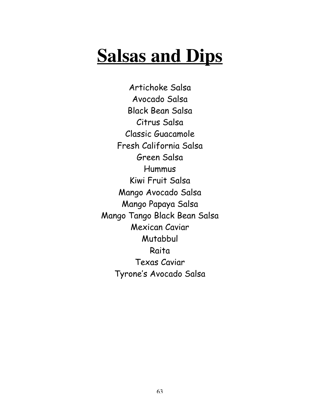# **Salsas and Dips**

Artichoke Salsa Avocado Salsa Black Bean Salsa Citrus Salsa Classic Guacamole Fresh California Salsa Green Salsa Hummus Kiwi Fruit Salsa Mango Avocado Salsa Mango Papaya Salsa Mango Tango Black Bean Salsa Mexican Caviar Mutabbul Raita Texas Caviar Tyrone's Avocado Salsa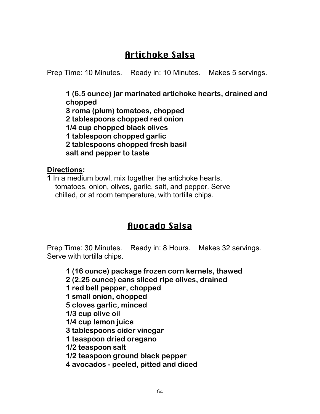# Artichoke Salsa

Prep Time: 10 Minutes. Ready in: 10 Minutes. Makes 5 servings.

**1 (6.5 ounce) jar marinated artichoke hearts, drained and chopped 3 roma (plum) tomatoes, chopped 2 tablespoons chopped red onion 1/4 cup chopped black olives 1 tablespoon chopped garlic 2 tablespoons chopped fresh basil salt and pepper to taste**

**Directions:**

**1** In a medium bowl, mix together the artichoke hearts, tomatoes, onion, olives, garlic, salt, and pepper. Serve chilled, or at room temperature, with tortilla chips.

## Avocado Salsa

Prep Time: 30 Minutes. Ready in: 8 Hours. Makes 32 servings. Serve with tortilla chips.

**1 (16 ounce) package frozen corn kernels, thawed 2 (2.25 ounce) cans sliced ripe olives, drained 1 red bell pepper, chopped 1 small onion, chopped 5 cloves garlic, minced 1/3 cup olive oil 1/4 cup lemon juice 3 tablespoons cider vinegar 1 teaspoon dried oregano 1/2 teaspoon salt 1/2 teaspoon ground black pepper 4 avocados - peeled, pitted and diced**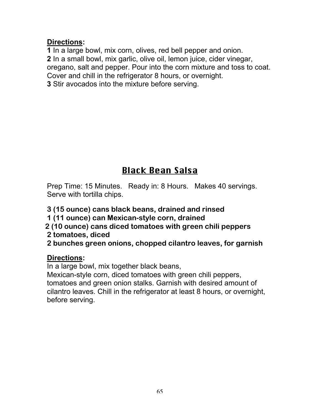#### **Directions:**

**1** In a large bowl, mix corn, olives, red bell pepper and onion. **2** In a small bowl, mix garlic, olive oil, lemon juice, cider vinegar, oregano, salt and pepper. Pour into the corn mixture and toss to coat. Cover and chill in the refrigerator 8 hours, or overnight. **3** Stir avocados into the mixture before serving.

# Black Bean Salsa

Prep Time: 15 Minutes. Ready in: 8 Hours. Makes 40 servings. Serve with tortilla chips.

**3 (15 ounce) cans black beans, drained and rinsed**

**1 (11 ounce) can Mexican-style corn, drained**

- **2 (10 ounce) cans diced tomatoes with green chili peppers**
- **2 tomatoes, diced**
- **2 bunches green onions, chopped cilantro leaves, for garnish**

#### **Directions:**

In a large bowl, mix together black beans,

Mexican-style corn, diced tomatoes with green chili peppers, tomatoes and green onion stalks. Garnish with desired amount of cilantro leaves. Chill in the refrigerator at least 8 hours, or overnight, before serving.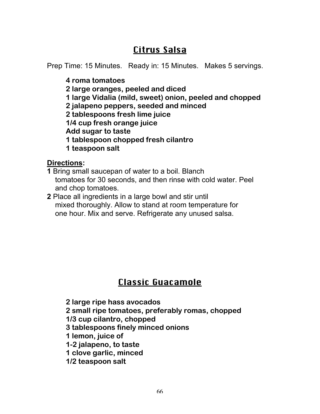# Citrus Salsa

Prep Time: 15 Minutes. Ready in: 15 Minutes. Makes 5 servings.

**4 roma tomatoes**

**2 large oranges, peeled and diced**

**1 large Vidalia (mild, sweet) onion, peeled and chopped**

**2 jalapeno peppers, seeded and minced**

**2 tablespoons fresh lime juice**

**1/4 cup fresh orange juice**

**Add sugar to taste**

**1 tablespoon chopped fresh cilantro**

**1 teaspoon salt**

**Directions:**

- **1** Bring small saucepan of water to a boil. Blanch tomatoes for 30 seconds, and then rinse with cold water. Peel and chop tomatoes.
- **2** Place all ingredients in a large bowl and stir until mixed thoroughly. Allow to stand at room temperature for one hour. Mix and serve. Refrigerate any unused salsa.

# Classic Guacamole

**2 large ripe hass avocados 2 small ripe tomatoes, preferably romas, chopped 1/3 cup cilantro, chopped 3 tablespoons finely minced onions 1 lemon, juice of 1-2 jalapeno, to taste 1 clove garlic, minced 1/2 teaspoon salt**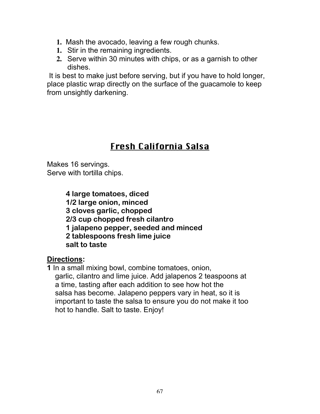- **1.** Mash the avocado, leaving a few rough chunks.
- **1.** Stir in the remaining ingredients.
- **2.** Serve within 30 minutes with chips, or as a garnish to other dishes.

 It is best to make just before serving, but if you have to hold longer, place plastic wrap directly on the surface of the guacamole to keep from unsightly darkening.

# Fresh California Salsa

Makes 16 servings. Serve with tortilla chips.

> **4 large tomatoes, diced 1/2 large onion, minced 3 cloves garlic, chopped 2/3 cup chopped fresh cilantro 1 jalapeno pepper, seeded and minced 2 tablespoons fresh lime juice salt to taste**

#### **Directions:**

**1** In a small mixing bowl, combine tomatoes, onion, garlic, cilantro and lime juice. Add jalapenos 2 teaspoons at a time, tasting after each addition to see how hot the salsa has become. Jalapeno peppers vary in heat, so it is important to taste the salsa to ensure you do not make it too hot to handle. Salt to taste. Enjoy!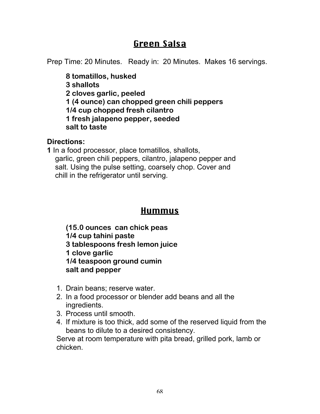## Green Salsa

Prep Time: 20 Minutes. Ready in: 20 Minutes. Makes 16 servings.

**8 tomatillos, husked 3 shallots 2 cloves garlic, peeled 1 (4 ounce) can chopped green chili peppers 1/4 cup chopped fresh cilantro 1 fresh jalapeno pepper, seeded salt to taste**

#### **Directions:**

**1** In a food processor, place tomatillos, shallots, garlic, green chili peppers, cilantro, jalapeno pepper and salt. Using the pulse setting, coarsely chop. Cover and chill in the refrigerator until serving.

## Hummus

**(15.0 ounces can chick peas 1/4 cup tahini paste 3 tablespoons fresh lemon juice 1 clove garlic 1/4 teaspoon ground cumin salt and pepper**

- 1. Drain beans; reserve water.
- 2. In a food processor or blender add beans and all the ingredients.
- 3. Process until smooth.
- 4. If mixture is too thick, add some of the reserved liquid from the beans to dilute to a desired consistency.

Serve at room temperature with pita bread, grilled pork, lamb or chicken.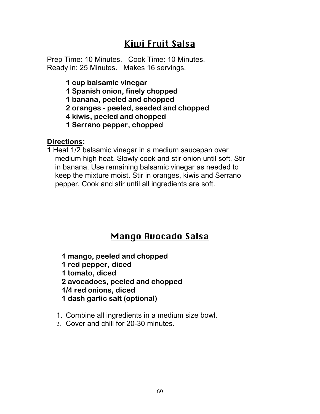## Kiwi Fruit Salsa

Prep Time: 10 Minutes. Cook Time: 10 Minutes. Ready in: 25 Minutes. Makes 16 servings.

- **1 cup balsamic vinegar**
- **1 Spanish onion, finely chopped**
- **1 banana, peeled and chopped**
- **2 oranges peeled, seeded and chopped**
- **4 kiwis, peeled and chopped**
- **1 Serrano pepper, chopped**

#### **Directions:**

**1** Heat 1/2 balsamic vinegar in a medium saucepan over medium high heat. Slowly cook and stir onion until soft. Stir in banana. Use remaining balsamic vinegar as needed to keep the mixture moist. Stir in oranges, kiwis and Serrano pepper. Cook and stir until all ingredients are soft.

# Mango Avocado Salsa

**1 mango, peeled and chopped 1 red pepper, diced 1 tomato, diced 2 avocadoes, peeled and chopped 1/4 red onions, diced 1 dash garlic salt (optional)**

- 1. Combine all ingredients in a medium size bowl.
- 2. Cover and chill for 20-30 minutes.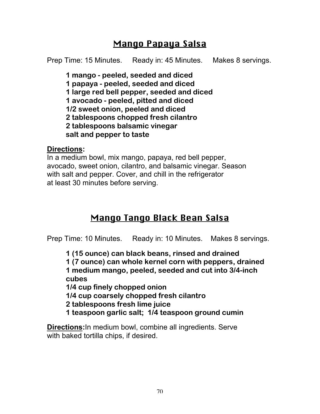## Mango Papaya Salsa

Prep Time: 15 Minutes. Ready in: 45 Minutes. Makes 8 servings.

**1 mango - peeled, seeded and diced 1 papaya - peeled, seeded and diced 1 large red bell pepper, seeded and diced 1 avocado - peeled, pitted and diced 1/2 sweet onion, peeled and diced 2 tablespoons chopped fresh cilantro 2 tablespoons balsamic vinegar salt and pepper to taste**

#### **Directions:**

In a medium bowl, mix mango, papaya, red bell pepper, avocado, sweet onion, cilantro, and balsamic vinegar. Season with salt and pepper. Cover, and chill in the refrigerator at least 30 minutes before serving.

## Mango Tango Black Bean Salsa

Prep Time: 10 Minutes. Ready in: 10 Minutes. Makes 8 servings.

**1 (15 ounce) can black beans, rinsed and drained 1 (7 ounce) can whole kernel corn with peppers, drained**

**1 medium mango, peeled, seeded and cut into 3/4-inch cubes**

**1/4 cup finely chopped onion**

**1/4 cup coarsely chopped fresh cilantro**

**2 tablespoons fresh lime juice**

**1 teaspoon garlic salt; 1/4 teaspoon ground cumin**

**Directions:**In medium bowl, combine all ingredients. Serve with baked tortilla chips, if desired.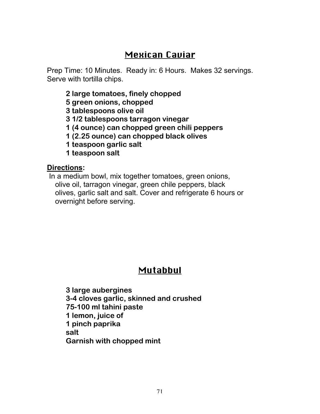## Mexican Caviar

Prep Time: 10 Minutes. Ready in: 6 Hours. Makes 32 servings. Serve with tortilla chips.

**2 large tomatoes, finely chopped 5 green onions, chopped 3 tablespoons olive oil 3 1/2 tablespoons tarragon vinegar 1 (4 ounce) can chopped green chili peppers 1 (2.25 ounce) can chopped black olives 1 teaspoon garlic salt 1 teaspoon salt**

#### **Directions:**

 In a medium bowl, mix together tomatoes, green onions, olive oil, tarragon vinegar, green chile peppers, black olives, garlic salt and salt. Cover and refrigerate 6 hours or overnight before serving.

# Mutabbul

**3 large aubergines 3-4 cloves garlic, skinned and crushed 75-100 ml tahini paste 1 lemon, juice of 1 pinch paprika salt Garnish with chopped mint**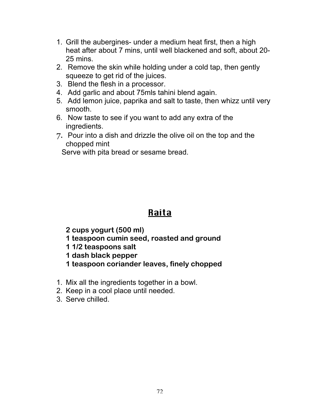- 1. Grill the aubergines- under a medium heat first, then a high heat after about 7 mins, until well blackened and soft, about 20- 25 mins.
- 2. Remove the skin while holding under a cold tap, then gently squeeze to get rid of the juices.
- 3. Blend the flesh in a processor.
- 4. Add garlic and about 75mls tahini blend again.
- 5. Add lemon juice, paprika and salt to taste, then whizz until very smooth.
- 6. Now taste to see if you want to add any extra of the ingredients.
- 7. Pour into a dish and drizzle the olive oil on the top and the chopped mint

Serve with pita bread or sesame bread.

# Raita

**2 cups yogurt (500 ml)**

- **1 teaspoon cumin seed, roasted and ground**
- **1 1/2 teaspoons salt**

**1 dash black pepper**

- **1 teaspoon coriander leaves, finely chopped**
- 1. Mix all the ingredients together in a bowl.
- 2. Keep in a cool place until needed.
- 3. Serve chilled.